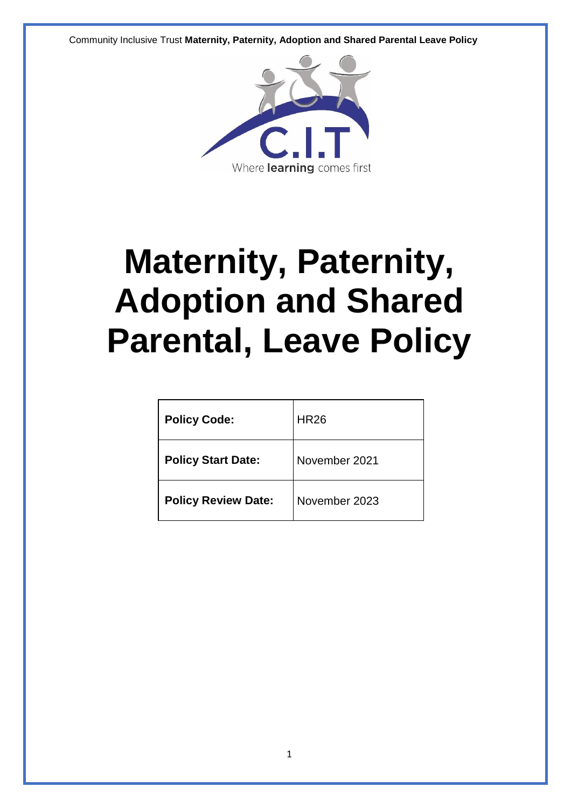

# **Maternity, Paternity, Adoption and Shared Parental, Leave Policy**

| <b>Policy Code:</b>        | <b>HR26</b>   |
|----------------------------|---------------|
| <b>Policy Start Date:</b>  | November 2021 |
| <b>Policy Review Date:</b> | November 2023 |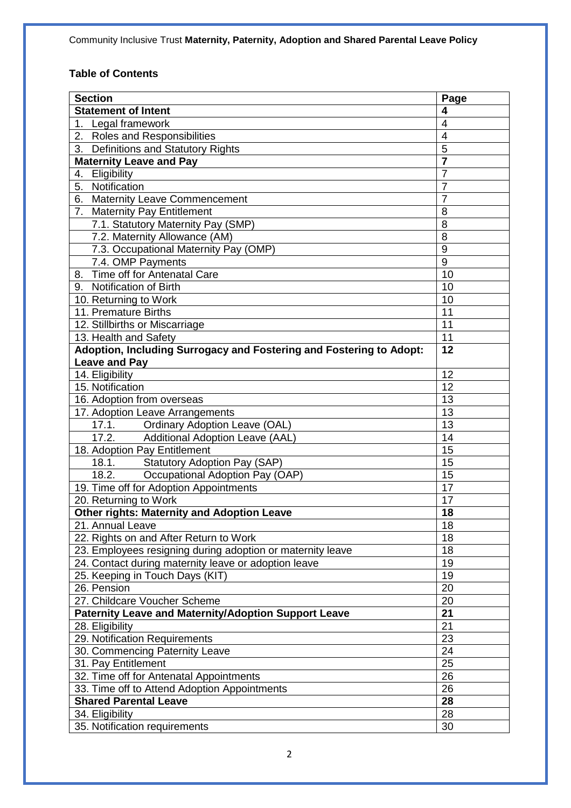# **Table of Contents**

| <b>Section</b>                                                      | Page                    |
|---------------------------------------------------------------------|-------------------------|
| <b>Statement of Intent</b>                                          | 4                       |
| 1. Legal framework                                                  | $\overline{4}$          |
| 2. Roles and Responsibilities                                       | $\overline{4}$          |
| 3. Definitions and Statutory Rights                                 | $\overline{5}$          |
| <b>Maternity Leave and Pay</b>                                      | $\overline{\mathbf{7}}$ |
| Eligibility<br>4.                                                   | $\overline{7}$          |
| Notification<br>5.                                                  | $\overline{7}$          |
| <b>Maternity Leave Commencement</b><br>6.                           | $\overline{7}$          |
| <b>Maternity Pay Entitlement</b><br>7.                              | 8                       |
| 7.1. Statutory Maternity Pay (SMP)                                  | 8                       |
| 7.2. Maternity Allowance (AM)                                       | 8                       |
| 7.3. Occupational Maternity Pay (OMP)                               | 9                       |
| 7.4. OMP Payments                                                   | 9                       |
| Time off for Antenatal Care<br>8.                                   | 10                      |
| 9. Notification of Birth                                            | 10                      |
| 10. Returning to Work                                               | 10                      |
| 11. Premature Births                                                | 11                      |
| 12. Stillbirths or Miscarriage                                      | 11                      |
| 13. Health and Safety                                               | 11                      |
| Adoption, Including Surrogacy and Fostering and Fostering to Adopt: | 12                      |
| <b>Leave and Pay</b>                                                |                         |
| 14. Eligibility                                                     | 12                      |
| 15. Notification                                                    | 12                      |
| 16. Adoption from overseas                                          | 13                      |
| 17. Adoption Leave Arrangements                                     | 13                      |
| 17.1.<br><b>Ordinary Adoption Leave (OAL)</b>                       | 13                      |
| 17.2.<br>Additional Adoption Leave (AAL)                            | 14                      |
| 18. Adoption Pay Entitlement                                        | 15                      |
| 18.1.<br><b>Statutory Adoption Pay (SAP)</b>                        | 15                      |
| 18.2.<br>Occupational Adoption Pay (OAP)                            | 15                      |
| 19. Time off for Adoption Appointments                              | 17                      |
| 20. Returning to Work                                               | $\overline{17}$         |
| Other rights: Maternity and Adoption Leave                          | 18                      |
| 21. Annual Leave                                                    | 18                      |
| 22. Rights on and After Return to Work                              | 18                      |
| 23. Employees resigning during adoption or maternity leave          | 18                      |
| 24. Contact during maternity leave or adoption leave                | 19                      |
| 25. Keeping in Touch Days (KIT)                                     | 19                      |
| 26. Pension                                                         | 20                      |
| 27. Childcare Voucher Scheme                                        | 20                      |
| <b>Paternity Leave and Maternity/Adoption Support Leave</b>         | 21                      |
| 28. Eligibility                                                     | 21                      |
| 29. Notification Requirements                                       | 23                      |
| 30. Commencing Paternity Leave                                      | 24                      |
| 31. Pay Entitlement                                                 | 25                      |
| 32. Time off for Antenatal Appointments                             | 26                      |
| 33. Time off to Attend Adoption Appointments                        | 26                      |
| <b>Shared Parental Leave</b>                                        | 28                      |
| 34. Eligibility                                                     | 28                      |
| 35. Notification requirements                                       | 30                      |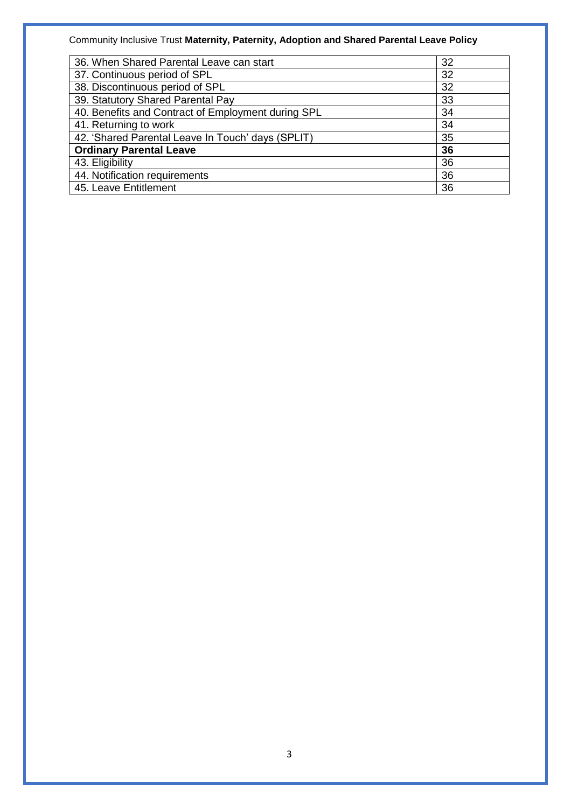| 36. When Shared Parental Leave can start           | 32 |
|----------------------------------------------------|----|
| 37. Continuous period of SPL                       | 32 |
| 38. Discontinuous period of SPL                    | 32 |
| 39. Statutory Shared Parental Pay                  | 33 |
| 40. Benefits and Contract of Employment during SPL | 34 |
| 41. Returning to work                              | 34 |
| 42. 'Shared Parental Leave In Touch' days (SPLIT)  | 35 |
| <b>Ordinary Parental Leave</b>                     | 36 |
| 43. Eligibility                                    | 36 |
| 44. Notification requirements                      | 36 |
| 45. Leave Entitlement                              | 36 |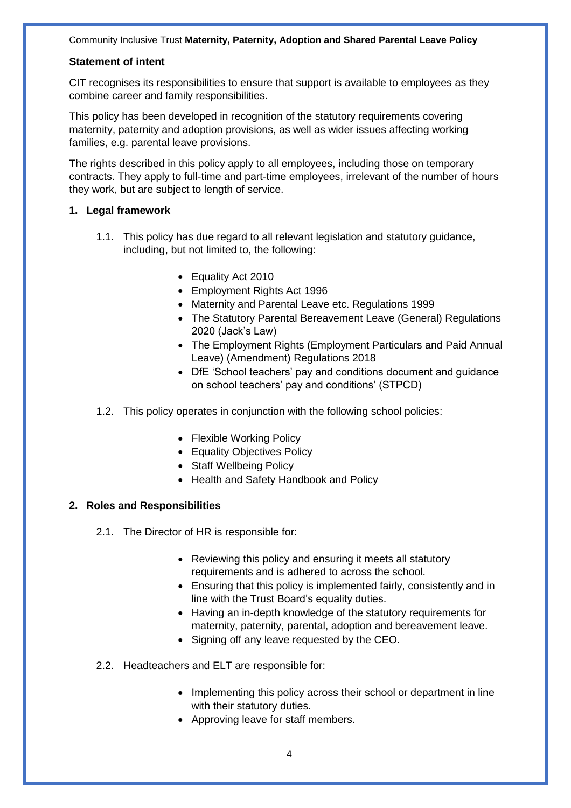#### **Statement of intent**

CIT recognises its responsibilities to ensure that support is available to employees as they combine career and family responsibilities.

This policy has been developed in recognition of the statutory requirements covering maternity, paternity and adoption provisions, as well as wider issues affecting working families, e.g. parental leave provisions.

The rights described in this policy apply to all employees, including those on temporary contracts. They apply to full-time and part-time employees, irrelevant of the number of hours they work, but are subject to length of service.

#### **1. Legal framework**

- 1.1. This policy has due regard to all relevant legislation and statutory guidance, including, but not limited to, the following:
	- Equality Act 2010
	- Employment Rights Act 1996
	- Maternity and Parental Leave etc. Regulations 1999
	- The Statutory Parental Bereavement Leave (General) Regulations 2020 (Jack's Law)
	- The Employment Rights (Employment Particulars and Paid Annual Leave) (Amendment) Regulations 2018
	- DfE 'School teachers' pay and conditions document and guidance on school teachers' pay and conditions' (STPCD)
- 1.2. This policy operates in conjunction with the following school policies:
	- Flexible Working Policy
	- Equality Objectives Policy
	- Staff Wellbeing Policy
	- Health and Safety Handbook and Policy

#### **2. Roles and Responsibilities**

- 2.1. The Director of HR is responsible for:
	- Reviewing this policy and ensuring it meets all statutory requirements and is adhered to across the school.
	- Ensuring that this policy is implemented fairly, consistently and in line with the Trust Board's equality duties.
	- Having an in-depth knowledge of the statutory requirements for maternity, paternity, parental, adoption and bereavement leave.
	- Signing off any leave requested by the CEO.
- 2.2. Headteachers and ELT are responsible for:
	- Implementing this policy across their school or department in line with their statutory duties.
	- Approving leave for staff members.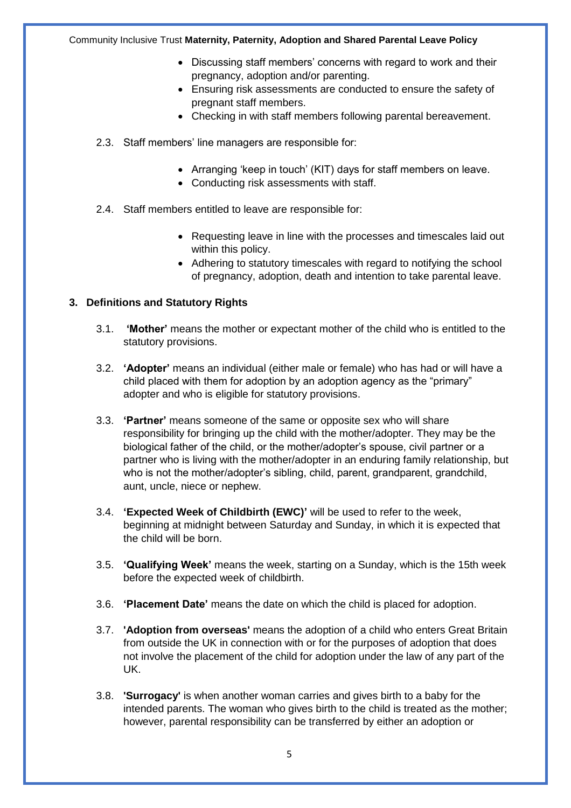- Discussing staff members' concerns with regard to work and their pregnancy, adoption and/or parenting.
- Ensuring risk assessments are conducted to ensure the safety of pregnant staff members.
- Checking in with staff members following parental bereavement.
- 2.3. Staff members' line managers are responsible for:
	- Arranging 'keep in touch' (KIT) days for staff members on leave.
	- Conducting risk assessments with staff.
- 2.4. Staff members entitled to leave are responsible for:
	- Requesting leave in line with the processes and timescales laid out within this policy.
	- Adhering to statutory timescales with regard to notifying the school of pregnancy, adoption, death and intention to take parental leave.

#### **3. Definitions and Statutory Rights**

- 3.1. **'Mother'** means the mother or expectant mother of the child who is entitled to the statutory provisions.
- 3.2. **'Adopter'** means an individual (either male or female) who has had or will have a child placed with them for adoption by an adoption agency as the "primary" adopter and who is eligible for statutory provisions.
- 3.3. **'Partner'** means someone of the same or opposite sex who will share responsibility for bringing up the child with the mother/adopter. They may be the biological father of the child, or the mother/adopter's spouse, civil partner or a partner who is living with the mother/adopter in an enduring family relationship, but who is not the mother/adopter's sibling, child, parent, grandparent, grandchild, aunt, uncle, niece or nephew.
- 3.4. **'Expected Week of Childbirth (EWC)'** will be used to refer to the week, beginning at midnight between Saturday and Sunday, in which it is expected that the child will be born.
- 3.5. **'Qualifying Week'** means the week, starting on a Sunday, which is the 15th week before the expected week of childbirth.
- 3.6. **'Placement Date'** means the date on which the child is placed for adoption.
- 3.7. **'Adoption from overseas'** means the adoption of a child who enters Great Britain from outside the UK in connection with or for the purposes of adoption that does not involve the placement of the child for adoption under the law of any part of the UK.
- 3.8. **'Surrogacy'** is when another woman carries and gives birth to a baby for the intended parents. The woman who gives birth to the child is treated as the mother; however, parental responsibility can be transferred by either an adoption or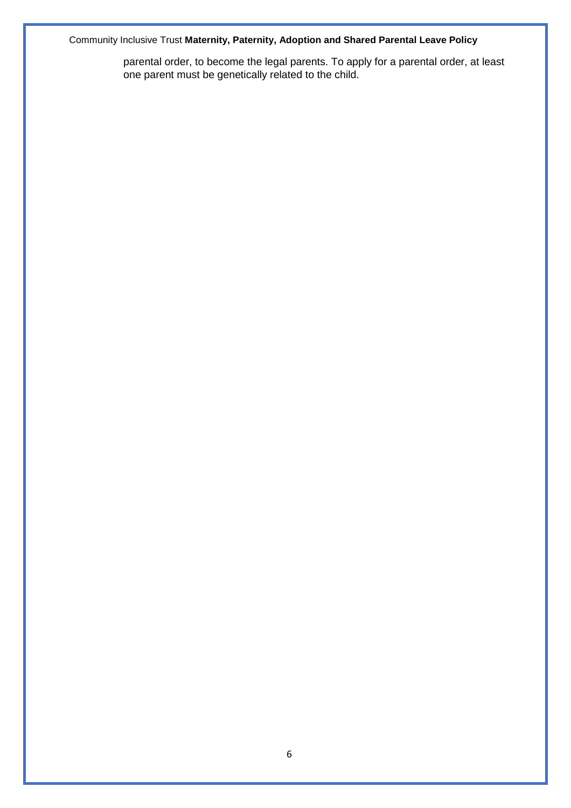parental order, to become the legal parents. To apply for a parental order, at least one parent must be genetically related to the child.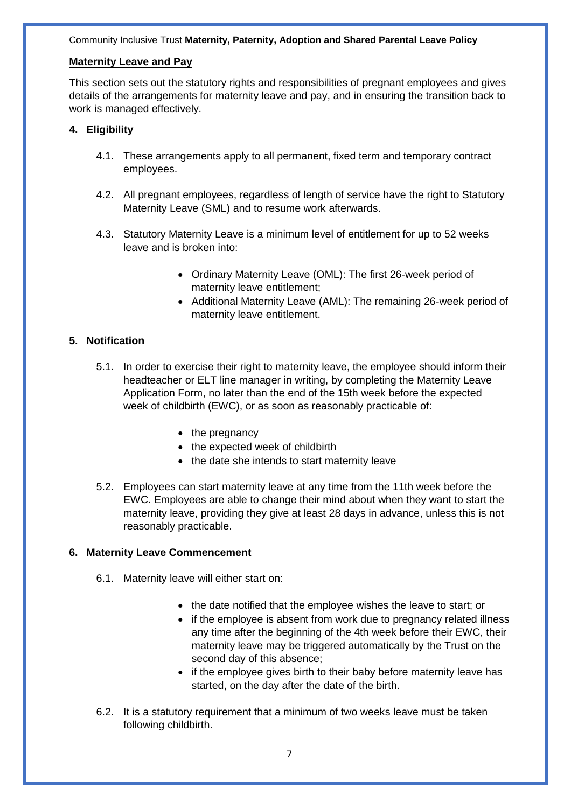#### **Maternity Leave and Pay**

This section sets out the statutory rights and responsibilities of pregnant employees and gives details of the arrangements for maternity leave and pay, and in ensuring the transition back to work is managed effectively.

#### **4. Eligibility**

- 4.1. These arrangements apply to all permanent, fixed term and temporary contract employees.
- 4.2. All pregnant employees, regardless of length of service have the right to Statutory Maternity Leave (SML) and to resume work afterwards.
- 4.3. Statutory Maternity Leave is a minimum level of entitlement for up to 52 weeks leave and is broken into:
	- Ordinary Maternity Leave (OML): The first 26-week period of maternity leave entitlement;
	- Additional Maternity Leave (AML): The remaining 26-week period of maternity leave entitlement.

#### **5. Notification**

- 5.1. In order to exercise their right to maternity leave, the employee should inform their headteacher or ELT line manager in writing, by completing the Maternity Leave Application Form, no later than the end of the 15th week before the expected week of childbirth (EWC), or as soon as reasonably practicable of:
	- the pregnancy
	- the expected week of childbirth
	- the date she intends to start maternity leave
- 5.2. Employees can start maternity leave at any time from the 11th week before the EWC. Employees are able to change their mind about when they want to start the maternity leave, providing they give at least 28 days in advance, unless this is not reasonably practicable.

#### **6. Maternity Leave Commencement**

- 6.1. Maternity leave will either start on:
	- the date notified that the employee wishes the leave to start; or
	- if the employee is absent from work due to pregnancy related illness any time after the beginning of the 4th week before their EWC, their maternity leave may be triggered automatically by the Trust on the second day of this absence;
	- if the employee gives birth to their baby before maternity leave has started, on the day after the date of the birth.
- 6.2. It is a statutory requirement that a minimum of two weeks leave must be taken following childbirth.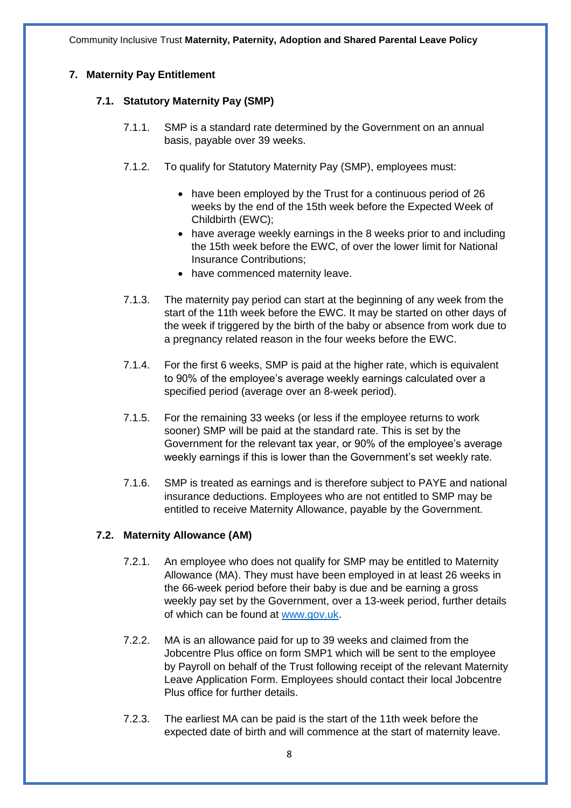#### **7. Maternity Pay Entitlement**

#### **7.1. Statutory Maternity Pay (SMP)**

- 7.1.1. SMP is a standard rate determined by the Government on an annual basis, payable over 39 weeks.
- 7.1.2. To qualify for Statutory Maternity Pay (SMP), employees must:
	- have been employed by the Trust for a continuous period of 26 weeks by the end of the 15th week before the Expected Week of Childbirth (EWC);
	- have average weekly earnings in the 8 weeks prior to and including the 15th week before the EWC, of over the lower limit for National Insurance Contributions;
	- have commenced maternity leave.
- 7.1.3. The maternity pay period can start at the beginning of any week from the start of the 11th week before the EWC. It may be started on other days of the week if triggered by the birth of the baby or absence from work due to a pregnancy related reason in the four weeks before the EWC.
- 7.1.4. For the first 6 weeks, SMP is paid at the higher rate, which is equivalent to 90% of the employee's average weekly earnings calculated over a specified period (average over an 8-week period).
- 7.1.5. For the remaining 33 weeks (or less if the employee returns to work sooner) SMP will be paid at the standard rate. This is set by the Government for the relevant tax year, or 90% of the employee's average weekly earnings if this is lower than the Government's set weekly rate.
- 7.1.6. SMP is treated as earnings and is therefore subject to PAYE and national insurance deductions. Employees who are not entitled to SMP may be entitled to receive Maternity Allowance, payable by the Government.

#### **7.2. Maternity Allowance (AM)**

- 7.2.1. An employee who does not qualify for SMP may be entitled to Maternity Allowance (MA). They must have been employed in at least 26 weeks in the 66-week period before their baby is due and be earning a gross weekly pay set by the Government, over a 13-week period, further details of which can be found at [www.gov.uk.](http://www.gov.uk/)
- 7.2.2. MA is an allowance paid for up to 39 weeks and claimed from the Jobcentre Plus office on form SMP1 which will be sent to the employee by Payroll on behalf of the Trust following receipt of the relevant Maternity Leave Application Form. Employees should contact their local Jobcentre Plus office for further details.
- 7.2.3. The earliest MA can be paid is the start of the 11th week before the expected date of birth and will commence at the start of maternity leave.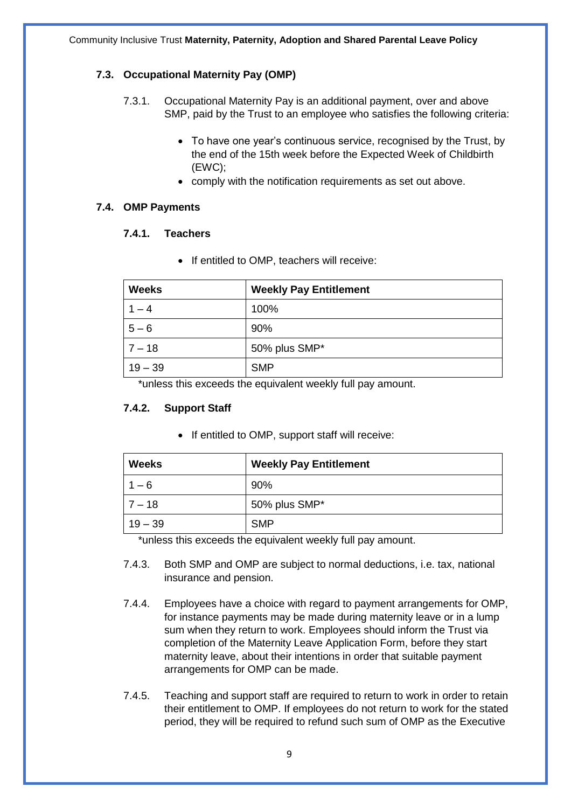#### **7.3. Occupational Maternity Pay (OMP)**

- 7.3.1. Occupational Maternity Pay is an additional payment, over and above SMP, paid by the Trust to an employee who satisfies the following criteria:
	- To have one year's continuous service, recognised by the Trust, by the end of the 15th week before the Expected Week of Childbirth (EWC);
	- comply with the notification requirements as set out above.

#### **7.4. OMP Payments**

#### **7.4.1. Teachers**

• If entitled to OMP, teachers will receive:

| <b>Weeks</b> | <b>Weekly Pay Entitlement</b> |
|--------------|-------------------------------|
| 1 – 4        | 100%                          |
| $5 - 6$      | 90%                           |
| $7 - 18$     | 50% plus SMP*                 |
| $19 - 39$    | <b>SMP</b>                    |

\*unless this exceeds the equivalent weekly full pay amount.

#### **7.4.2. Support Staff**

• If entitled to OMP, support staff will receive:

| <b>Weeks</b> | <b>Weekly Pay Entitlement</b> |  |  |
|--------------|-------------------------------|--|--|
| $1 - 6$      | 90%                           |  |  |
| $17 - 18$    | 50% plus SMP*                 |  |  |
| $19 - 39$    | <b>SMP</b>                    |  |  |

\*unless this exceeds the equivalent weekly full pay amount.

- 7.4.3. Both SMP and OMP are subject to normal deductions, i.e. tax, national insurance and pension.
- 7.4.4. Employees have a choice with regard to payment arrangements for OMP, for instance payments may be made during maternity leave or in a lump sum when they return to work. Employees should inform the Trust via completion of the Maternity Leave Application Form, before they start maternity leave, about their intentions in order that suitable payment arrangements for OMP can be made.
- 7.4.5. Teaching and support staff are required to return to work in order to retain their entitlement to OMP. If employees do not return to work for the stated period, they will be required to refund such sum of OMP as the Executive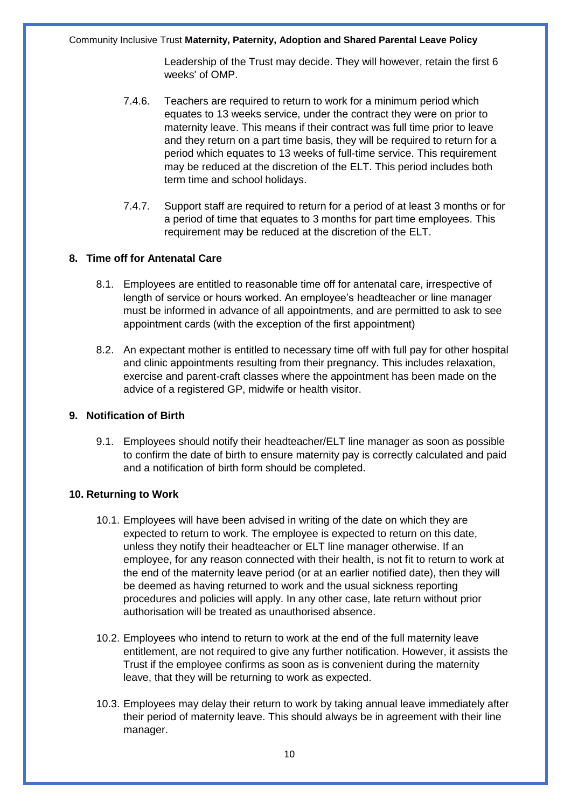Leadership of the Trust may decide. They will however, retain the first 6 weeks' of OMP.

- 7.4.6. Teachers are required to return to work for a minimum period which equates to 13 weeks service, under the contract they were on prior to maternity leave. This means if their contract was full time prior to leave and they return on a part time basis, they will be required to return for a period which equates to 13 weeks of full-time service. This requirement may be reduced at the discretion of the ELT. This period includes both term time and school holidays.
- 7.4.7. Support staff are required to return for a period of at least 3 months or for a period of time that equates to 3 months for part time employees. This requirement may be reduced at the discretion of the ELT.

#### **8. Time off for Antenatal Care**

- 8.1. Employees are entitled to reasonable time off for antenatal care, irrespective of length of service or hours worked. An employee's headteacher or line manager must be informed in advance of all appointments, and are permitted to ask to see appointment cards (with the exception of the first appointment)
- 8.2. An expectant mother is entitled to necessary time off with full pay for other hospital and clinic appointments resulting from their pregnancy. This includes relaxation, exercise and parent-craft classes where the appointment has been made on the advice of a registered GP, midwife or health visitor.

#### **9. Notification of Birth**

9.1. Employees should notify their headteacher/ELT line manager as soon as possible to confirm the date of birth to ensure maternity pay is correctly calculated and paid and a notification of birth form should be completed.

#### **10. Returning to Work**

- 10.1. Employees will have been advised in writing of the date on which they are expected to return to work. The employee is expected to return on this date, unless they notify their headteacher or ELT line manager otherwise. If an employee, for any reason connected with their health, is not fit to return to work at the end of the maternity leave period (or at an earlier notified date), then they will be deemed as having returned to work and the usual sickness reporting procedures and policies will apply. In any other case, late return without prior authorisation will be treated as unauthorised absence.
- 10.2. Employees who intend to return to work at the end of the full maternity leave entitlement, are not required to give any further notification. However, it assists the Trust if the employee confirms as soon as is convenient during the maternity leave, that they will be returning to work as expected.
- 10.3. Employees may delay their return to work by taking annual leave immediately after their period of maternity leave. This should always be in agreement with their line manager.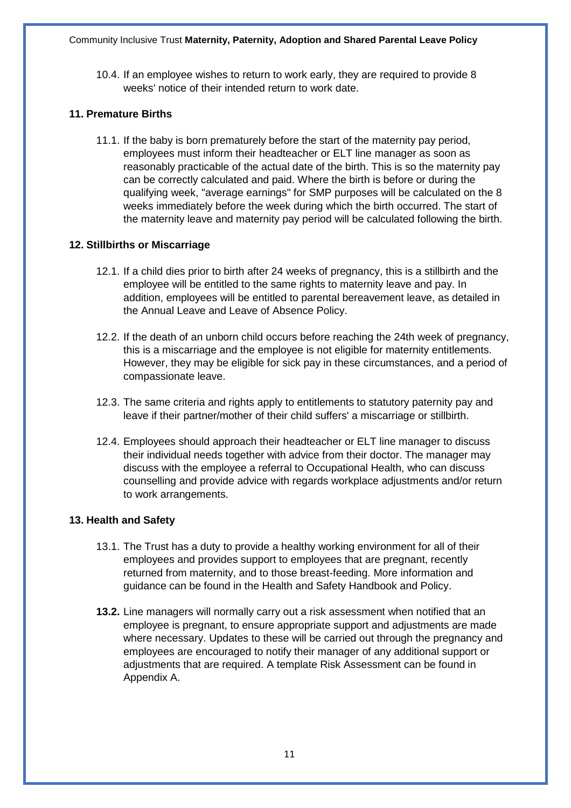10.4. If an employee wishes to return to work early, they are required to provide 8 weeks' notice of their intended return to work date.

#### **11. Premature Births**

11.1. If the baby is born prematurely before the start of the maternity pay period, employees must inform their headteacher or ELT line manager as soon as reasonably practicable of the actual date of the birth. This is so the maternity pay can be correctly calculated and paid. Where the birth is before or during the qualifying week, "average earnings" for SMP purposes will be calculated on the 8 weeks immediately before the week during which the birth occurred. The start of the maternity leave and maternity pay period will be calculated following the birth.

#### **12. Stillbirths or Miscarriage**

- 12.1. If a child dies prior to birth after 24 weeks of pregnancy, this is a stillbirth and the employee will be entitled to the same rights to maternity leave and pay. In addition, employees will be entitled to parental bereavement leave, as detailed in the Annual Leave and Leave of Absence Policy.
- 12.2. If the death of an unborn child occurs before reaching the 24th week of pregnancy, this is a miscarriage and the employee is not eligible for maternity entitlements. However, they may be eligible for sick pay in these circumstances, and a period of compassionate leave.
- 12.3. The same criteria and rights apply to entitlements to statutory paternity pay and leave if their partner/mother of their child suffers' a miscarriage or stillbirth.
- 12.4. Employees should approach their headteacher or ELT line manager to discuss their individual needs together with advice from their doctor. The manager may discuss with the employee a referral to Occupational Health, who can discuss counselling and provide advice with regards workplace adjustments and/or return to work arrangements.

#### **13. Health and Safety**

- 13.1. The Trust has a duty to provide a healthy working environment for all of their employees and provides support to employees that are pregnant, recently returned from maternity, and to those breast-feeding. More information and guidance can be found in the Health and Safety Handbook and Policy.
- **13.2.** Line managers will normally carry out a risk assessment when notified that an employee is pregnant, to ensure appropriate support and adjustments are made where necessary. Updates to these will be carried out through the pregnancy and employees are encouraged to notify their manager of any additional support or adjustments that are required. A template Risk Assessment can be found in Appendix A.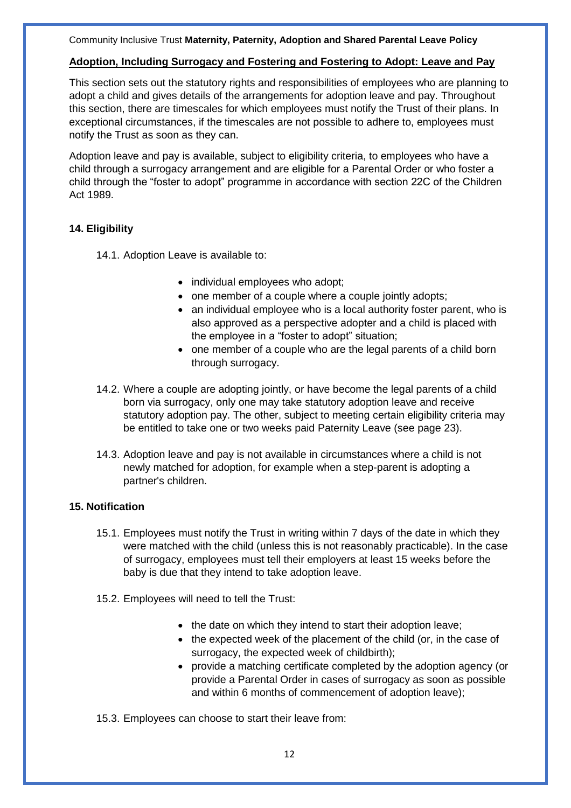#### **Adoption, Including Surrogacy and Fostering and Fostering to Adopt: Leave and Pay**

This section sets out the statutory rights and responsibilities of employees who are planning to adopt a child and gives details of the arrangements for adoption leave and pay. Throughout this section, there are timescales for which employees must notify the Trust of their plans. In exceptional circumstances, if the timescales are not possible to adhere to, employees must notify the Trust as soon as they can.

Adoption leave and pay is available, subject to eligibility criteria, to employees who have a child through a surrogacy arrangement and are eligible for a Parental Order or who foster a child through the "foster to adopt" programme in accordance with section 22C of the Children Act 1989.

#### **14. Eligibility**

- 14.1. Adoption Leave is available to:
	- individual employees who adopt;
	- one member of a couple where a couple jointly adopts;
	- an individual employee who is a local authority foster parent, who is also approved as a perspective adopter and a child is placed with the employee in a "foster to adopt" situation;
	- one member of a couple who are the legal parents of a child born through surrogacy.
- 14.2. Where a couple are adopting jointly, or have become the legal parents of a child born via surrogacy, only one may take statutory adoption leave and receive statutory adoption pay. The other, subject to meeting certain eligibility criteria may be entitled to take one or two weeks paid Paternity Leave (see page 23).
- 14.3. Adoption leave and pay is not available in circumstances where a child is not newly matched for adoption, for example when a step-parent is adopting a partner's children.

#### **15. Notification**

- 15.1. Employees must notify the Trust in writing within 7 days of the date in which they were matched with the child (unless this is not reasonably practicable). In the case of surrogacy, employees must tell their employers at least 15 weeks before the baby is due that they intend to take adoption leave.
- 15.2. Employees will need to tell the Trust:
	- the date on which they intend to start their adoption leave;
	- the expected week of the placement of the child (or, in the case of surrogacy, the expected week of childbirth);
	- provide a matching certificate completed by the adoption agency (or provide a Parental Order in cases of surrogacy as soon as possible and within 6 months of commencement of adoption leave);

15.3. Employees can choose to start their leave from: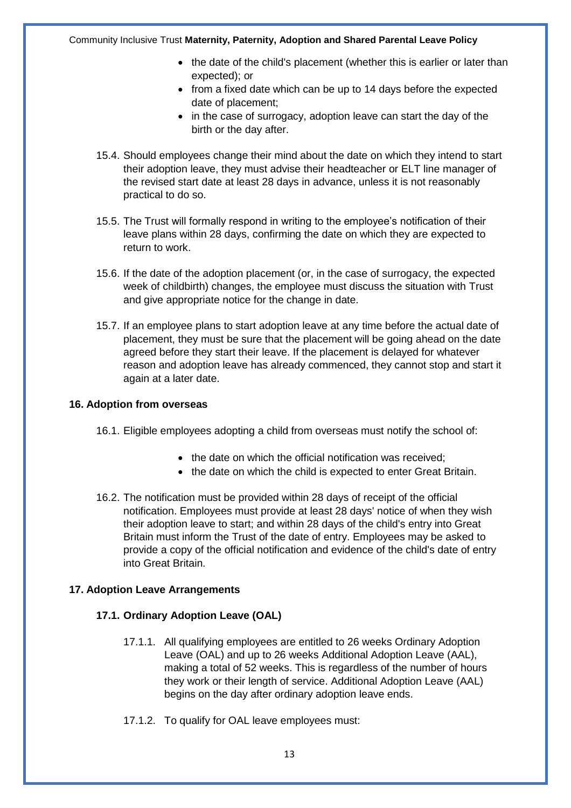- the date of the child's placement (whether this is earlier or later than expected); or
- from a fixed date which can be up to 14 days before the expected date of placement;
- in the case of surrogacy, adoption leave can start the day of the birth or the day after.
- 15.4. Should employees change their mind about the date on which they intend to start their adoption leave, they must advise their headteacher or ELT line manager of the revised start date at least 28 days in advance, unless it is not reasonably practical to do so.
- 15.5. The Trust will formally respond in writing to the employee's notification of their leave plans within 28 days, confirming the date on which they are expected to return to work.
- 15.6. If the date of the adoption placement (or, in the case of surrogacy, the expected week of childbirth) changes, the employee must discuss the situation with Trust and give appropriate notice for the change in date.
- 15.7. If an employee plans to start adoption leave at any time before the actual date of placement, they must be sure that the placement will be going ahead on the date agreed before they start their leave. If the placement is delayed for whatever reason and adoption leave has already commenced, they cannot stop and start it again at a later date.

#### **16. Adoption from overseas**

- 16.1. Eligible employees adopting a child from overseas must notify the school of:
	- the date on which the official notification was received:
	- the date on which the child is expected to enter Great Britain.
- 16.2. The notification must be provided within 28 days of receipt of the official notification. Employees must provide at least 28 days' notice of when they wish their adoption leave to start; and within 28 days of the child's entry into Great Britain must inform the Trust of the date of entry. Employees may be asked to provide a copy of the official notification and evidence of the child's date of entry into Great Britain.

#### **17. Adoption Leave Arrangements**

#### **17.1. Ordinary Adoption Leave (OAL)**

- 17.1.1. All qualifying employees are entitled to 26 weeks Ordinary Adoption Leave (OAL) and up to 26 weeks Additional Adoption Leave (AAL), making a total of 52 weeks. This is regardless of the number of hours they work or their length of service. Additional Adoption Leave (AAL) begins on the day after ordinary adoption leave ends.
- 17.1.2. To qualify for OAL leave employees must: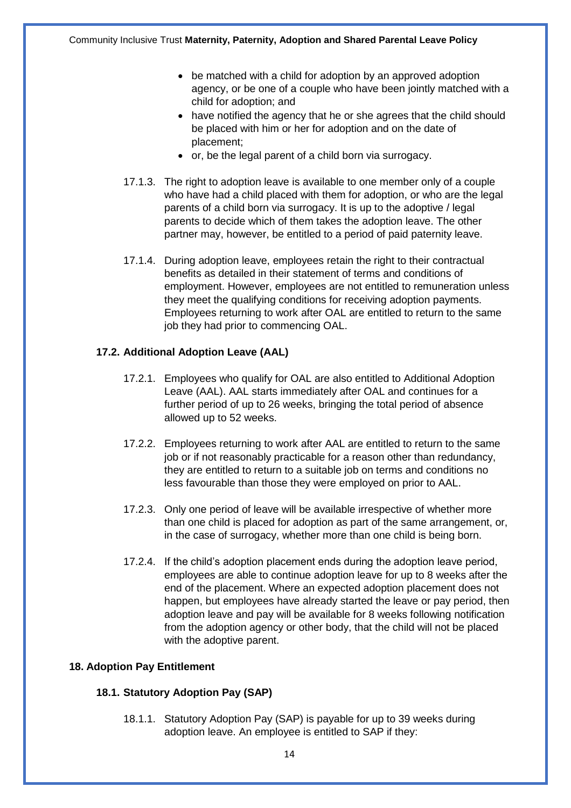- be matched with a child for adoption by an approved adoption agency, or be one of a couple who have been jointly matched with a child for adoption; and
- have notified the agency that he or she agrees that the child should be placed with him or her for adoption and on the date of placement;
- or, be the legal parent of a child born via surrogacy.
- 17.1.3. The right to adoption leave is available to one member only of a couple who have had a child placed with them for adoption, or who are the legal parents of a child born via surrogacy. It is up to the adoptive / legal parents to decide which of them takes the adoption leave. The other partner may, however, be entitled to a period of paid paternity leave.
- 17.1.4. During adoption leave, employees retain the right to their contractual benefits as detailed in their statement of terms and conditions of employment. However, employees are not entitled to remuneration unless they meet the qualifying conditions for receiving adoption payments. Employees returning to work after OAL are entitled to return to the same job they had prior to commencing OAL.

#### **17.2. Additional Adoption Leave (AAL)**

- 17.2.1. Employees who qualify for OAL are also entitled to Additional Adoption Leave (AAL). AAL starts immediately after OAL and continues for a further period of up to 26 weeks, bringing the total period of absence allowed up to 52 weeks.
- 17.2.2. Employees returning to work after AAL are entitled to return to the same job or if not reasonably practicable for a reason other than redundancy, they are entitled to return to a suitable job on terms and conditions no less favourable than those they were employed on prior to AAL.
- 17.2.3. Only one period of leave will be available irrespective of whether more than one child is placed for adoption as part of the same arrangement, or, in the case of surrogacy, whether more than one child is being born.
- 17.2.4. If the child's adoption placement ends during the adoption leave period, employees are able to continue adoption leave for up to 8 weeks after the end of the placement. Where an expected adoption placement does not happen, but employees have already started the leave or pay period, then adoption leave and pay will be available for 8 weeks following notification from the adoption agency or other body, that the child will not be placed with the adoptive parent.

#### **18. Adoption Pay Entitlement**

#### **18.1. Statutory Adoption Pay (SAP)**

18.1.1. Statutory Adoption Pay (SAP) is payable for up to 39 weeks during adoption leave. An employee is entitled to SAP if they: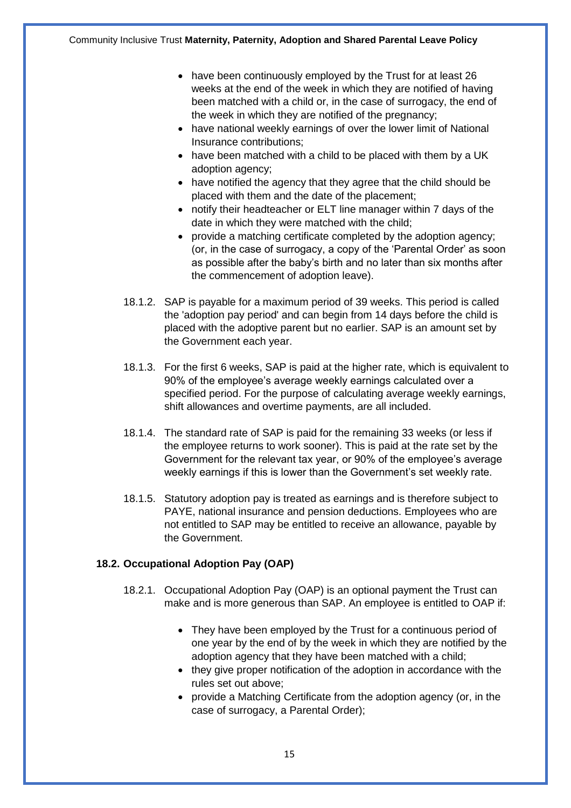- have been continuously employed by the Trust for at least 26 weeks at the end of the week in which they are notified of having been matched with a child or, in the case of surrogacy, the end of the week in which they are notified of the pregnancy;
- have national weekly earnings of over the lower limit of National Insurance contributions;
- have been matched with a child to be placed with them by a UK adoption agency;
- have notified the agency that they agree that the child should be placed with them and the date of the placement;
- notify their headteacher or ELT line manager within 7 days of the date in which they were matched with the child;
- provide a matching certificate completed by the adoption agency; (or, in the case of surrogacy, a copy of the 'Parental Order' as soon as possible after the baby's birth and no later than six months after the commencement of adoption leave).
- 18.1.2. SAP is payable for a maximum period of 39 weeks. This period is called the 'adoption pay period' and can begin from 14 days before the child is placed with the adoptive parent but no earlier. SAP is an amount set by the Government each year.
- 18.1.3. For the first 6 weeks, SAP is paid at the higher rate, which is equivalent to 90% of the employee's average weekly earnings calculated over a specified period. For the purpose of calculating average weekly earnings, shift allowances and overtime payments, are all included.
- 18.1.4. The standard rate of SAP is paid for the remaining 33 weeks (or less if the employee returns to work sooner). This is paid at the rate set by the Government for the relevant tax year, or 90% of the employee's average weekly earnings if this is lower than the Government's set weekly rate.
- 18.1.5. Statutory adoption pay is treated as earnings and is therefore subject to PAYE, national insurance and pension deductions. Employees who are not entitled to SAP may be entitled to receive an allowance, payable by the Government.

#### **18.2. Occupational Adoption Pay (OAP)**

- 18.2.1. Occupational Adoption Pay (OAP) is an optional payment the Trust can make and is more generous than SAP. An employee is entitled to OAP if:
	- They have been employed by the Trust for a continuous period of one year by the end of by the week in which they are notified by the adoption agency that they have been matched with a child;
	- they give proper notification of the adoption in accordance with the rules set out above;
	- provide a Matching Certificate from the adoption agency (or, in the case of surrogacy, a Parental Order);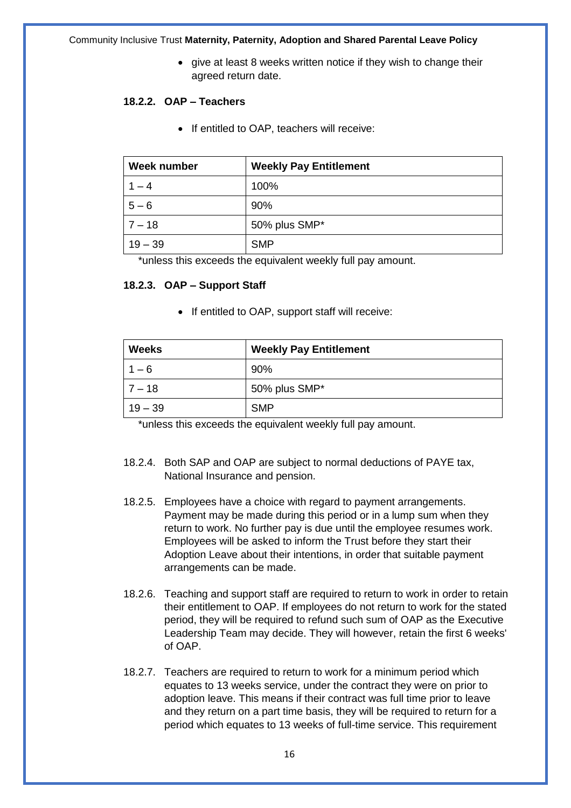• give at least 8 weeks written notice if they wish to change their agreed return date.

#### **18.2.2. OAP – Teachers**

• If entitled to OAP, teachers will receive:

| Week number | <b>Weekly Pay Entitlement</b> |
|-------------|-------------------------------|
| $1 - 4$     | 100%                          |
| $5 - 6$     | 90%                           |
| $7 - 18$    | 50% plus SMP*                 |
| $19 - 39$   | <b>SMP</b>                    |

\*unless this exceeds the equivalent weekly full pay amount.

#### **18.2.3. OAP – Support Staff**

• If entitled to OAP, support staff will receive:

| <b>Weeks</b> | <b>Weekly Pay Entitlement</b> |  |  |
|--------------|-------------------------------|--|--|
| $1 - 6$      | 90%                           |  |  |
| $17 - 18$    | 50% plus SMP*                 |  |  |
| $19 - 39$    | <b>SMP</b>                    |  |  |

\*unless this exceeds the equivalent weekly full pay amount.

- 18.2.4. Both SAP and OAP are subject to normal deductions of PAYE tax, National Insurance and pension.
- 18.2.5. Employees have a choice with regard to payment arrangements. Payment may be made during this period or in a lump sum when they return to work. No further pay is due until the employee resumes work. Employees will be asked to inform the Trust before they start their Adoption Leave about their intentions, in order that suitable payment arrangements can be made.
- 18.2.6. Teaching and support staff are required to return to work in order to retain their entitlement to OAP. If employees do not return to work for the stated period, they will be required to refund such sum of OAP as the Executive Leadership Team may decide. They will however, retain the first 6 weeks' of OAP.
- 18.2.7. Teachers are required to return to work for a minimum period which equates to 13 weeks service, under the contract they were on prior to adoption leave. This means if their contract was full time prior to leave and they return on a part time basis, they will be required to return for a period which equates to 13 weeks of full-time service. This requirement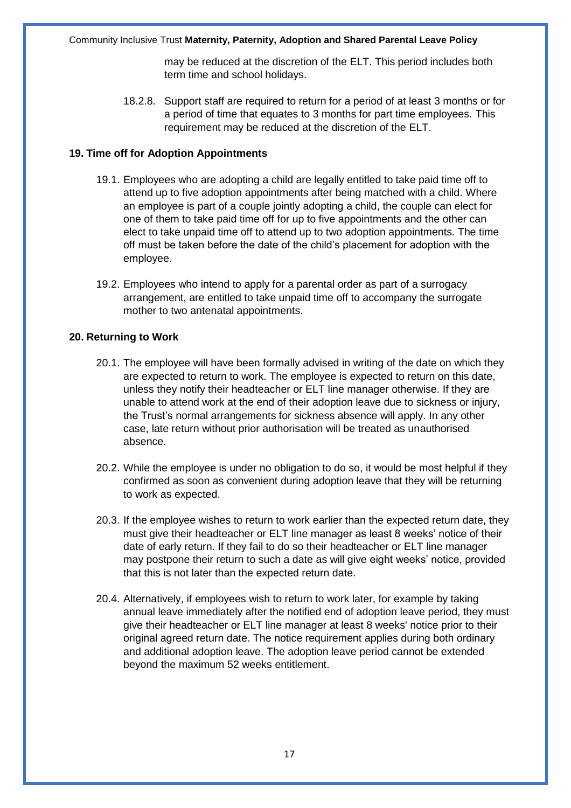may be reduced at the discretion of the ELT. This period includes both term time and school holidays.

18.2.8. Support staff are required to return for a period of at least 3 months or for a period of time that equates to 3 months for part time employees. This requirement may be reduced at the discretion of the ELT.

#### **19. Time off for Adoption Appointments**

- 19.1. Employees who are adopting a child are legally entitled to take paid time off to attend up to five adoption appointments after being matched with a child. Where an employee is part of a couple jointly adopting a child, the couple can elect for one of them to take paid time off for up to five appointments and the other can elect to take unpaid time off to attend up to two adoption appointments. The time off must be taken before the date of the child's placement for adoption with the employee.
- 19.2. Employees who intend to apply for a parental order as part of a surrogacy arrangement, are entitled to take unpaid time off to accompany the surrogate mother to two antenatal appointments.

#### **20. Returning to Work**

- 20.1. The employee will have been formally advised in writing of the date on which they are expected to return to work. The employee is expected to return on this date, unless they notify their headteacher or ELT line manager otherwise. If they are unable to attend work at the end of their adoption leave due to sickness or injury, the Trust's normal arrangements for sickness absence will apply. In any other case, late return without prior authorisation will be treated as unauthorised absence.
- 20.2. While the employee is under no obligation to do so, it would be most helpful if they confirmed as soon as convenient during adoption leave that they will be returning to work as expected.
- 20.3. If the employee wishes to return to work earlier than the expected return date, they must give their headteacher or ELT line manager as least 8 weeks' notice of their date of early return. If they fail to do so their headteacher or ELT line manager may postpone their return to such a date as will give eight weeks' notice, provided that this is not later than the expected return date.
- 20.4. Alternatively, if employees wish to return to work later, for example by taking annual leave immediately after the notified end of adoption leave period, they must give their headteacher or ELT line manager at least 8 weeks' notice prior to their original agreed return date. The notice requirement applies during both ordinary and additional adoption leave. The adoption leave period cannot be extended beyond the maximum 52 weeks entitlement.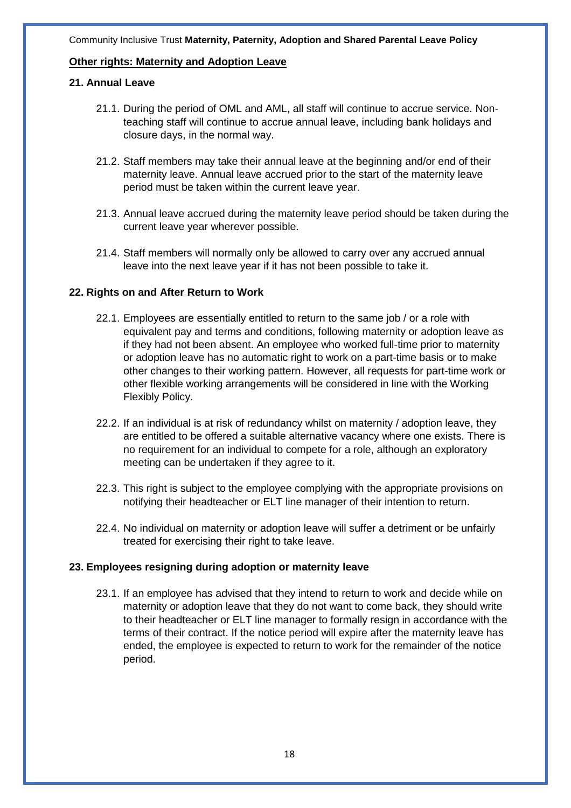#### **Other rights: Maternity and Adoption Leave**

#### **21. Annual Leave**

- 21.1. During the period of OML and AML, all staff will continue to accrue service. Nonteaching staff will continue to accrue annual leave, including bank holidays and closure days, in the normal way.
- 21.2. Staff members may take their annual leave at the beginning and/or end of their maternity leave. Annual leave accrued prior to the start of the maternity leave period must be taken within the current leave year.
- 21.3. Annual leave accrued during the maternity leave period should be taken during the current leave year wherever possible.
- 21.4. Staff members will normally only be allowed to carry over any accrued annual leave into the next leave year if it has not been possible to take it.

#### **22. Rights on and After Return to Work**

- 22.1. Employees are essentially entitled to return to the same job / or a role with equivalent pay and terms and conditions, following maternity or adoption leave as if they had not been absent. An employee who worked full-time prior to maternity or adoption leave has no automatic right to work on a part-time basis or to make other changes to their working pattern. However, all requests for part-time work or other flexible working arrangements will be considered in line with the Working Flexibly Policy.
- 22.2. If an individual is at risk of redundancy whilst on maternity / adoption leave, they are entitled to be offered a suitable alternative vacancy where one exists. There is no requirement for an individual to compete for a role, although an exploratory meeting can be undertaken if they agree to it.
- 22.3. This right is subject to the employee complying with the appropriate provisions on notifying their headteacher or ELT line manager of their intention to return.
- 22.4. No individual on maternity or adoption leave will suffer a detriment or be unfairly treated for exercising their right to take leave.

#### **23. Employees resigning during adoption or maternity leave**

23.1. If an employee has advised that they intend to return to work and decide while on maternity or adoption leave that they do not want to come back, they should write to their headteacher or ELT line manager to formally resign in accordance with the terms of their contract. If the notice period will expire after the maternity leave has ended, the employee is expected to return to work for the remainder of the notice period.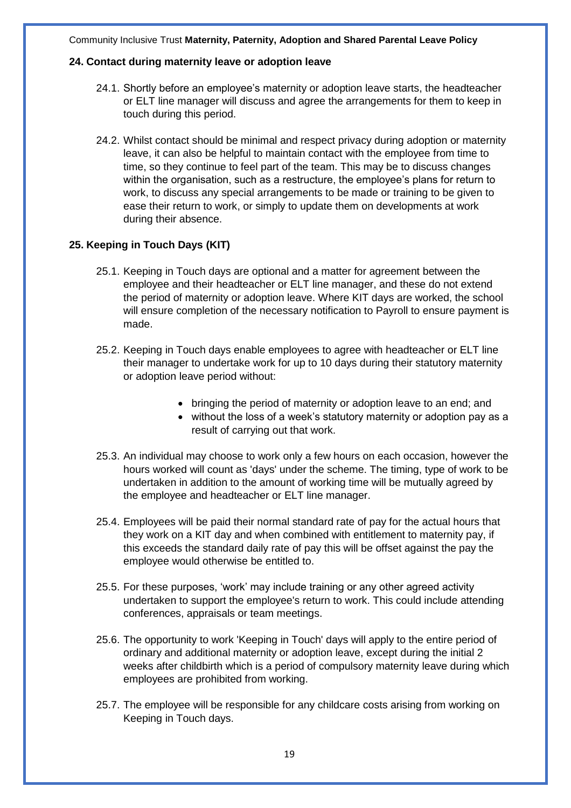#### **24. Contact during maternity leave or adoption leave**

- 24.1. Shortly before an employee's maternity or adoption leave starts, the headteacher or ELT line manager will discuss and agree the arrangements for them to keep in touch during this period.
- 24.2. Whilst contact should be minimal and respect privacy during adoption or maternity leave, it can also be helpful to maintain contact with the employee from time to time, so they continue to feel part of the team. This may be to discuss changes within the organisation, such as a restructure, the employee's plans for return to work, to discuss any special arrangements to be made or training to be given to ease their return to work, or simply to update them on developments at work during their absence.

#### **25. Keeping in Touch Days (KIT)**

- 25.1. Keeping in Touch days are optional and a matter for agreement between the employee and their headteacher or ELT line manager, and these do not extend the period of maternity or adoption leave. Where KIT days are worked, the school will ensure completion of the necessary notification to Payroll to ensure payment is made.
- 25.2. Keeping in Touch days enable employees to agree with headteacher or ELT line their manager to undertake work for up to 10 days during their statutory maternity or adoption leave period without:
	- bringing the period of maternity or adoption leave to an end; and
	- without the loss of a week's statutory maternity or adoption pay as a result of carrying out that work.
- 25.3. An individual may choose to work only a few hours on each occasion, however the hours worked will count as 'days' under the scheme. The timing, type of work to be undertaken in addition to the amount of working time will be mutually agreed by the employee and headteacher or ELT line manager.
- 25.4. Employees will be paid their normal standard rate of pay for the actual hours that they work on a KIT day and when combined with entitlement to maternity pay, if this exceeds the standard daily rate of pay this will be offset against the pay the employee would otherwise be entitled to.
- 25.5. For these purposes, 'work' may include training or any other agreed activity undertaken to support the employee's return to work. This could include attending conferences, appraisals or team meetings.
- 25.6. The opportunity to work 'Keeping in Touch' days will apply to the entire period of ordinary and additional maternity or adoption leave, except during the initial 2 weeks after childbirth which is a period of compulsory maternity leave during which employees are prohibited from working.
- 25.7. The employee will be responsible for any childcare costs arising from working on Keeping in Touch days.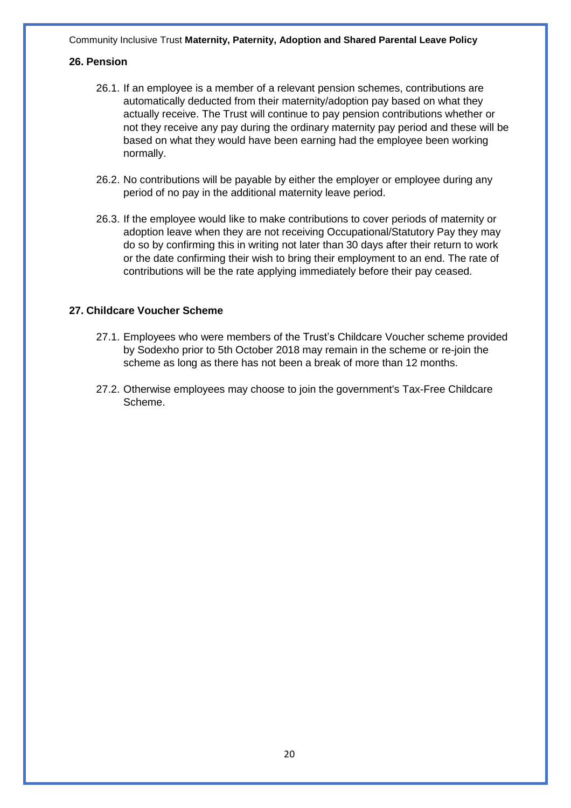#### **26. Pension**

- 26.1. If an employee is a member of a relevant pension schemes, contributions are automatically deducted from their maternity/adoption pay based on what they actually receive. The Trust will continue to pay pension contributions whether or not they receive any pay during the ordinary maternity pay period and these will be based on what they would have been earning had the employee been working normally.
- 26.2. No contributions will be payable by either the employer or employee during any period of no pay in the additional maternity leave period.
- 26.3. If the employee would like to make contributions to cover periods of maternity or adoption leave when they are not receiving Occupational/Statutory Pay they may do so by confirming this in writing not later than 30 days after their return to work or the date confirming their wish to bring their employment to an end. The rate of contributions will be the rate applying immediately before their pay ceased.

#### **27. Childcare Voucher Scheme**

- 27.1. Employees who were members of the Trust's Childcare Voucher scheme provided by Sodexho prior to 5th October 2018 may remain in the scheme or re-join the scheme as long as there has not been a break of more than 12 months.
- 27.2. Otherwise employees may choose to join the government's Tax-Free Childcare Scheme.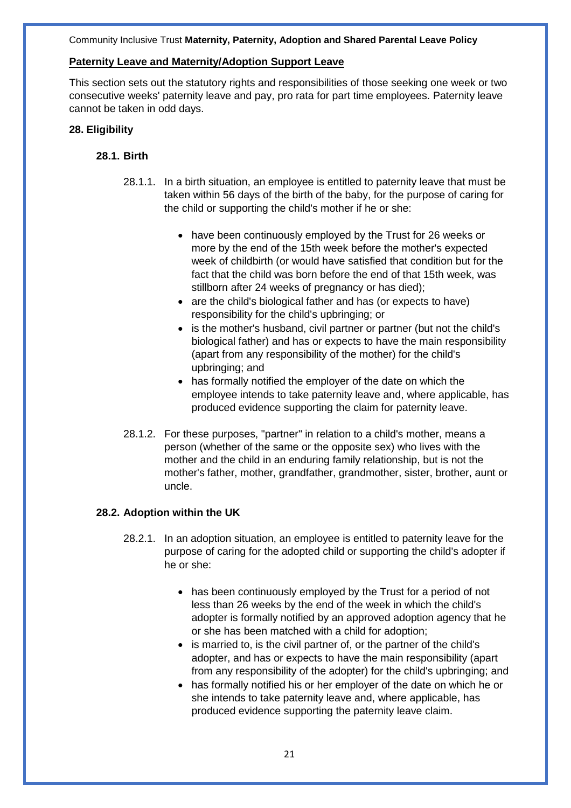#### **Paternity Leave and Maternity/Adoption Support Leave**

This section sets out the statutory rights and responsibilities of those seeking one week or two consecutive weeks' paternity leave and pay, pro rata for part time employees. Paternity leave cannot be taken in odd days.

#### **28. Eligibility**

#### **28.1. Birth**

- 28.1.1. In a birth situation, an employee is entitled to paternity leave that must be taken within 56 days of the birth of the baby, for the purpose of caring for the child or supporting the child's mother if he or she:
	- have been continuously employed by the Trust for 26 weeks or more by the end of the 15th week before the mother's expected week of childbirth (or would have satisfied that condition but for the fact that the child was born before the end of that 15th week, was stillborn after 24 weeks of pregnancy or has died);
	- are the child's biological father and has (or expects to have) responsibility for the child's upbringing; or
	- is the mother's husband, civil partner or partner (but not the child's biological father) and has or expects to have the main responsibility (apart from any responsibility of the mother) for the child's upbringing; and
	- has formally notified the employer of the date on which the employee intends to take paternity leave and, where applicable, has produced evidence supporting the claim for paternity leave.
- 28.1.2. For these purposes, "partner" in relation to a child's mother, means a person (whether of the same or the opposite sex) who lives with the mother and the child in an enduring family relationship, but is not the mother's father, mother, grandfather, grandmother, sister, brother, aunt or uncle.

#### **28.2. Adoption within the UK**

- 28.2.1. In an adoption situation, an employee is entitled to paternity leave for the purpose of caring for the adopted child or supporting the child's adopter if he or she:
	- has been continuously employed by the Trust for a period of not less than 26 weeks by the end of the week in which the child's adopter is formally notified by an approved adoption agency that he or she has been matched with a child for adoption;
	- is married to, is the civil partner of, or the partner of the child's adopter, and has or expects to have the main responsibility (apart from any responsibility of the adopter) for the child's upbringing; and
	- has formally notified his or her employer of the date on which he or she intends to take paternity leave and, where applicable, has produced evidence supporting the paternity leave claim.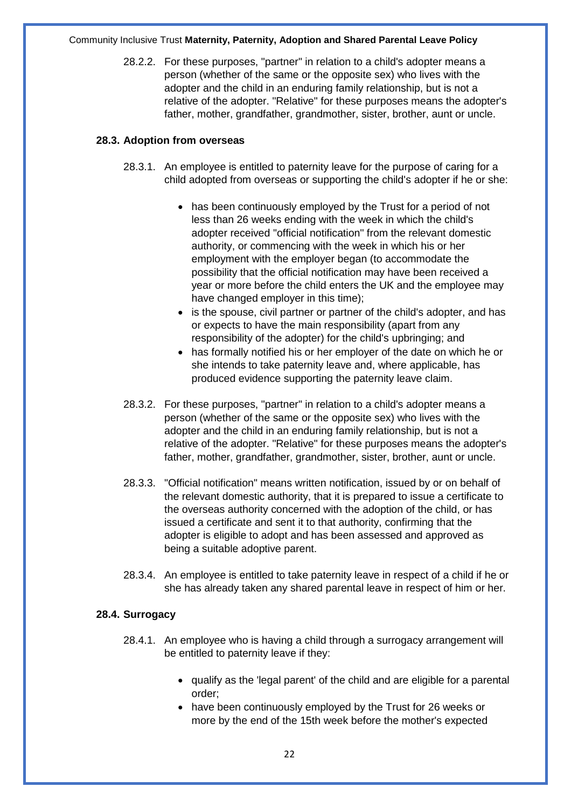28.2.2. For these purposes, "partner" in relation to a child's adopter means a person (whether of the same or the opposite sex) who lives with the adopter and the child in an enduring family relationship, but is not a relative of the adopter. "Relative" for these purposes means the adopter's father, mother, grandfather, grandmother, sister, brother, aunt or uncle.

#### **28.3. Adoption from overseas**

- 28.3.1. An employee is entitled to paternity leave for the purpose of caring for a child adopted from overseas or supporting the child's adopter if he or she:
	- has been continuously employed by the Trust for a period of not less than 26 weeks ending with the week in which the child's adopter received "official notification" from the relevant domestic authority, or commencing with the week in which his or her employment with the employer began (to accommodate the possibility that the official notification may have been received a year or more before the child enters the UK and the employee may have changed employer in this time);
	- is the spouse, civil partner or partner of the child's adopter, and has or expects to have the main responsibility (apart from any responsibility of the adopter) for the child's upbringing; and
	- has formally notified his or her employer of the date on which he or she intends to take paternity leave and, where applicable, has produced evidence supporting the paternity leave claim.
- 28.3.2. For these purposes, "partner" in relation to a child's adopter means a person (whether of the same or the opposite sex) who lives with the adopter and the child in an enduring family relationship, but is not a relative of the adopter. "Relative" for these purposes means the adopter's father, mother, grandfather, grandmother, sister, brother, aunt or uncle.
- 28.3.3. "Official notification" means written notification, issued by or on behalf of the relevant domestic authority, that it is prepared to issue a certificate to the overseas authority concerned with the adoption of the child, or has issued a certificate and sent it to that authority, confirming that the adopter is eligible to adopt and has been assessed and approved as being a suitable adoptive parent.
- 28.3.4. An employee is entitled to take paternity leave in respect of a child if he or she has already taken any shared parental leave in respect of him or her.

#### **28.4. Surrogacy**

- 28.4.1. An employee who is having a child through a surrogacy arrangement will be entitled to paternity leave if they:
	- qualify as the 'legal parent' of the child and are eligible for a parental order;
	- have been continuously employed by the Trust for 26 weeks or more by the end of the 15th week before the mother's expected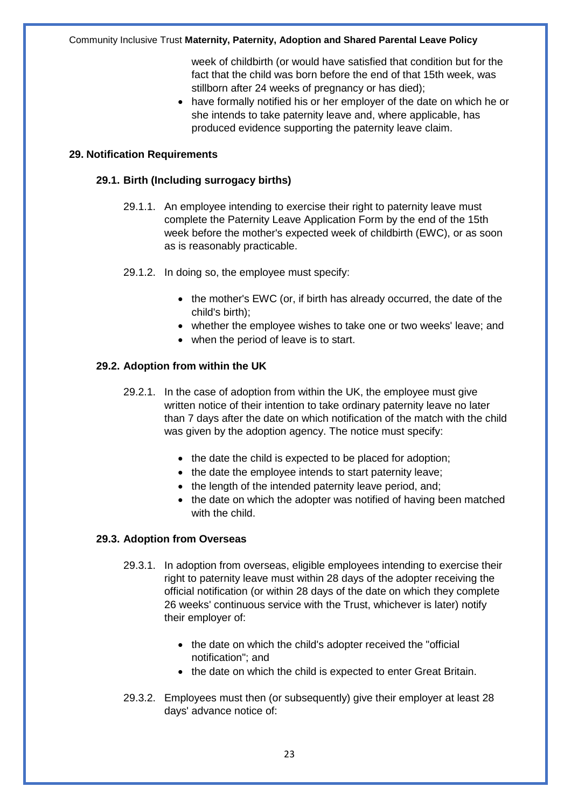week of childbirth (or would have satisfied that condition but for the fact that the child was born before the end of that 15th week, was stillborn after 24 weeks of pregnancy or has died);

• have formally notified his or her employer of the date on which he or she intends to take paternity leave and, where applicable, has produced evidence supporting the paternity leave claim.

#### **29. Notification Requirements**

#### **29.1. Birth (Including surrogacy births)**

- 29.1.1. An employee intending to exercise their right to paternity leave must complete the Paternity Leave Application Form by the end of the 15th week before the mother's expected week of childbirth (EWC), or as soon as is reasonably practicable.
- 29.1.2. In doing so, the employee must specify:
	- the mother's EWC (or, if birth has already occurred, the date of the child's birth);
	- whether the employee wishes to take one or two weeks' leave; and
	- when the period of leave is to start.

#### **29.2. Adoption from within the UK**

- 29.2.1. In the case of adoption from within the UK, the employee must give written notice of their intention to take ordinary paternity leave no later than 7 days after the date on which notification of the match with the child was given by the adoption agency. The notice must specify:
	- the date the child is expected to be placed for adoption;
	- the date the employee intends to start paternity leave;
	- the length of the intended paternity leave period, and;
	- the date on which the adopter was notified of having been matched with the child

#### **29.3. Adoption from Overseas**

- 29.3.1. In adoption from overseas, eligible employees intending to exercise their right to paternity leave must within 28 days of the adopter receiving the official notification (or within 28 days of the date on which they complete 26 weeks' continuous service with the Trust, whichever is later) notify their employer of:
	- the date on which the child's adopter received the "official notification"; and
	- the date on which the child is expected to enter Great Britain.
- 29.3.2. Employees must then (or subsequently) give their employer at least 28 days' advance notice of: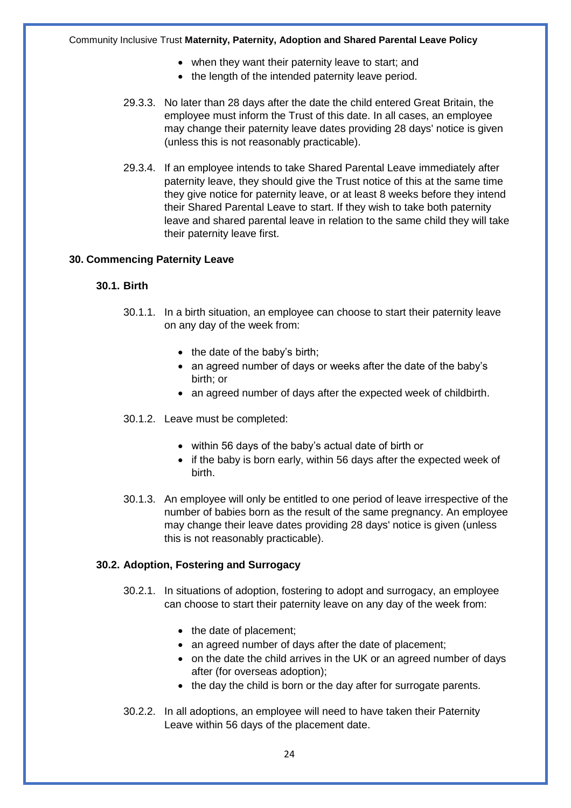- when they want their paternity leave to start; and
- the length of the intended paternity leave period.
- 29.3.3. No later than 28 days after the date the child entered Great Britain, the employee must inform the Trust of this date. In all cases, an employee may change their paternity leave dates providing 28 days' notice is given (unless this is not reasonably practicable).
- 29.3.4. If an employee intends to take Shared Parental Leave immediately after paternity leave, they should give the Trust notice of this at the same time they give notice for paternity leave, or at least 8 weeks before they intend their Shared Parental Leave to start. If they wish to take both paternity leave and shared parental leave in relation to the same child they will take their paternity leave first.

#### **30. Commencing Paternity Leave**

#### **30.1. Birth**

- 30.1.1. In a birth situation, an employee can choose to start their paternity leave on any day of the week from:
	- the date of the baby's birth;
	- an agreed number of days or weeks after the date of the baby's birth; or
	- an agreed number of days after the expected week of childbirth.
- 30.1.2. Leave must be completed:
	- within 56 days of the baby's actual date of birth or
	- if the baby is born early, within 56 days after the expected week of birth.
- 30.1.3. An employee will only be entitled to one period of leave irrespective of the number of babies born as the result of the same pregnancy. An employee may change their leave dates providing 28 days' notice is given (unless this is not reasonably practicable).

#### **30.2. Adoption, Fostering and Surrogacy**

- 30.2.1. In situations of adoption, fostering to adopt and surrogacy, an employee can choose to start their paternity leave on any day of the week from:
	- the date of placement;
	- an agreed number of days after the date of placement;
	- on the date the child arrives in the UK or an agreed number of days after (for overseas adoption);
	- the day the child is born or the day after for surrogate parents.
- 30.2.2. In all adoptions, an employee will need to have taken their Paternity Leave within 56 days of the placement date.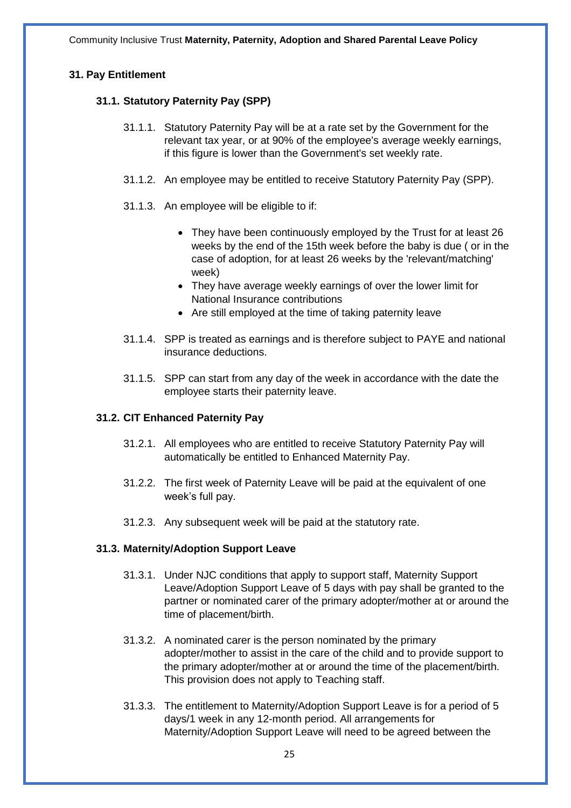#### **31. Pay Entitlement**

#### **31.1. Statutory Paternity Pay (SPP)**

- 31.1.1. Statutory Paternity Pay will be at a rate set by the Government for the relevant tax year, or at 90% of the employee's average weekly earnings, if this figure is lower than the Government's set weekly rate.
- 31.1.2. An employee may be entitled to receive Statutory Paternity Pay (SPP).
- 31.1.3. An employee will be eligible to if:
	- They have been continuously employed by the Trust for at least 26 weeks by the end of the 15th week before the baby is due ( or in the case of adoption, for at least 26 weeks by the 'relevant/matching' week)
	- They have average weekly earnings of over the lower limit for National Insurance contributions
	- Are still employed at the time of taking paternity leave
- 31.1.4. SPP is treated as earnings and is therefore subject to PAYE and national insurance deductions.
- 31.1.5. SPP can start from any day of the week in accordance with the date the employee starts their paternity leave.

#### **31.2. CIT Enhanced Paternity Pay**

- 31.2.1. All employees who are entitled to receive Statutory Paternity Pay will automatically be entitled to Enhanced Maternity Pay.
- 31.2.2. The first week of Paternity Leave will be paid at the equivalent of one week's full pay.
- 31.2.3. Any subsequent week will be paid at the statutory rate.

#### **31.3. Maternity/Adoption Support Leave**

- 31.3.1. Under NJC conditions that apply to support staff, Maternity Support Leave/Adoption Support Leave of 5 days with pay shall be granted to the partner or nominated carer of the primary adopter/mother at or around the time of placement/birth.
- 31.3.2. A nominated carer is the person nominated by the primary adopter/mother to assist in the care of the child and to provide support to the primary adopter/mother at or around the time of the placement/birth. This provision does not apply to Teaching staff.
- 31.3.3. The entitlement to Maternity/Adoption Support Leave is for a period of 5 days/1 week in any 12-month period. All arrangements for Maternity/Adoption Support Leave will need to be agreed between the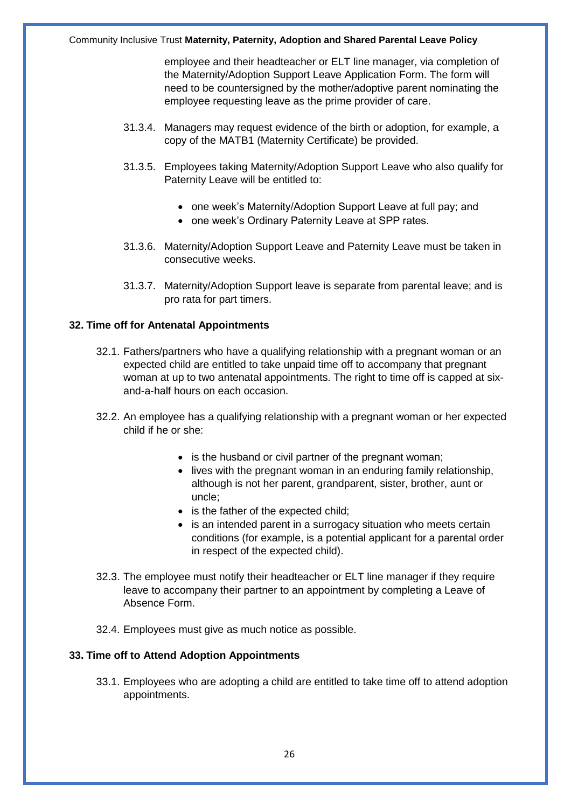employee and their headteacher or ELT line manager, via completion of the Maternity/Adoption Support Leave Application Form. The form will need to be countersigned by the mother/adoptive parent nominating the employee requesting leave as the prime provider of care.

- 31.3.4. Managers may request evidence of the birth or adoption, for example, a copy of the MATB1 (Maternity Certificate) be provided.
- 31.3.5. Employees taking Maternity/Adoption Support Leave who also qualify for Paternity Leave will be entitled to:
	- one week's Maternity/Adoption Support Leave at full pay; and
	- one week's Ordinary Paternity Leave at SPP rates.
- 31.3.6. Maternity/Adoption Support Leave and Paternity Leave must be taken in consecutive weeks.
- 31.3.7. Maternity/Adoption Support leave is separate from parental leave; and is pro rata for part timers.

#### **32. Time off for Antenatal Appointments**

- 32.1. Fathers/partners who have a qualifying relationship with a pregnant woman or an expected child are entitled to take unpaid time off to accompany that pregnant woman at up to two antenatal appointments. The right to time off is capped at sixand-a-half hours on each occasion.
- 32.2. An employee has a qualifying relationship with a pregnant woman or her expected child if he or she:
	- is the husband or civil partner of the pregnant woman;
	- lives with the pregnant woman in an enduring family relationship, although is not her parent, grandparent, sister, brother, aunt or uncle;
	- is the father of the expected child;
	- is an intended parent in a surrogacy situation who meets certain conditions (for example, is a potential applicant for a parental order in respect of the expected child).
- 32.3. The employee must notify their headteacher or ELT line manager if they require leave to accompany their partner to an appointment by completing a Leave of Absence Form.
- 32.4. Employees must give as much notice as possible.

#### **33. Time off to Attend Adoption Appointments**

33.1. Employees who are adopting a child are entitled to take time off to attend adoption appointments.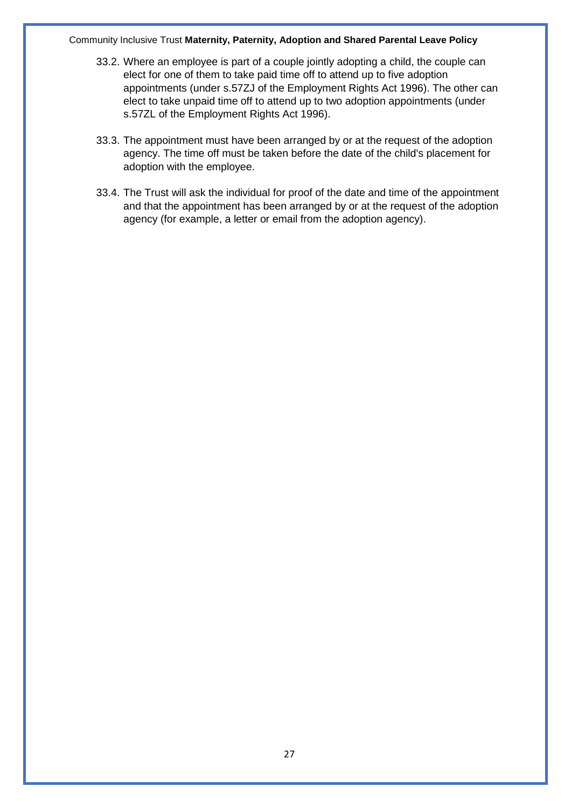- 33.2. Where an employee is part of a couple jointly adopting a child, the couple can elect for one of them to take paid time off to attend up to five adoption appointments (under s.57ZJ of the Employment Rights Act 1996). The other can elect to take unpaid time off to attend up to two adoption appointments (under s.57ZL of the Employment Rights Act 1996).
- 33.3. The appointment must have been arranged by or at the request of the adoption agency. The time off must be taken before the date of the child's placement for adoption with the employee.
- 33.4. The Trust will ask the individual for proof of the date and time of the appointment and that the appointment has been arranged by or at the request of the adoption agency (for example, a letter or email from the adoption agency).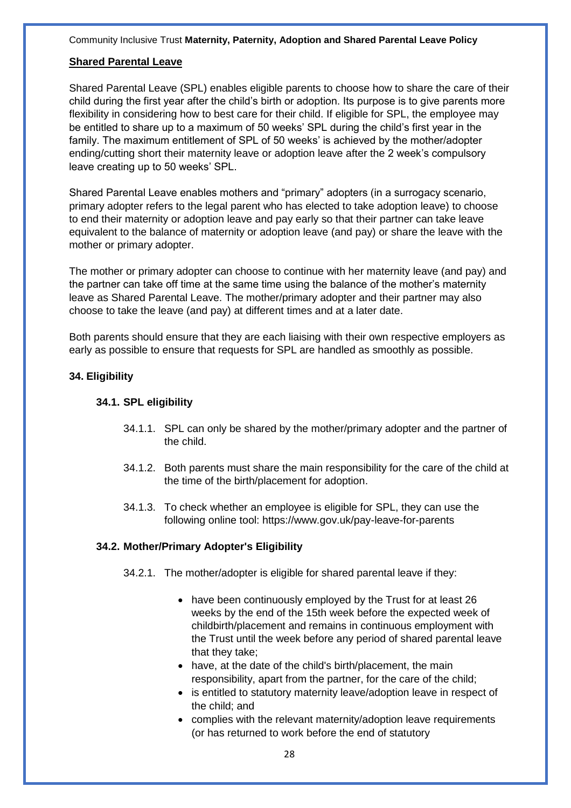#### **Shared Parental Leave**

Shared Parental Leave (SPL) enables eligible parents to choose how to share the care of their child during the first year after the child's birth or adoption. Its purpose is to give parents more flexibility in considering how to best care for their child. If eligible for SPL, the employee may be entitled to share up to a maximum of 50 weeks' SPL during the child's first year in the family. The maximum entitlement of SPL of 50 weeks' is achieved by the mother/adopter ending/cutting short their maternity leave or adoption leave after the 2 week's compulsory leave creating up to 50 weeks' SPL.

Shared Parental Leave enables mothers and "primary" adopters (in a surrogacy scenario, primary adopter refers to the legal parent who has elected to take adoption leave) to choose to end their maternity or adoption leave and pay early so that their partner can take leave equivalent to the balance of maternity or adoption leave (and pay) or share the leave with the mother or primary adopter.

The mother or primary adopter can choose to continue with her maternity leave (and pay) and the partner can take off time at the same time using the balance of the mother's maternity leave as Shared Parental Leave. The mother/primary adopter and their partner may also choose to take the leave (and pay) at different times and at a later date.

Both parents should ensure that they are each liaising with their own respective employers as early as possible to ensure that requests for SPL are handled as smoothly as possible.

#### **34. Eligibility**

#### **34.1. SPL eligibility**

- 34.1.1. SPL can only be shared by the mother/primary adopter and the partner of the child.
- 34.1.2. Both parents must share the main responsibility for the care of the child at the time of the birth/placement for adoption.
- 34.1.3. To check whether an employee is eligible for SPL, they can use the following online tool: https://www.gov.uk/pay-leave-for-parents

#### **34.2. Mother/Primary Adopter's Eligibility**

- 34.2.1. The mother/adopter is eligible for shared parental leave if they:
	- have been continuously employed by the Trust for at least 26 weeks by the end of the 15th week before the expected week of childbirth/placement and remains in continuous employment with the Trust until the week before any period of shared parental leave that they take;
	- have, at the date of the child's birth/placement, the main responsibility, apart from the partner, for the care of the child;
	- is entitled to statutory maternity leave/adoption leave in respect of the child; and
	- complies with the relevant maternity/adoption leave requirements (or has returned to work before the end of statutory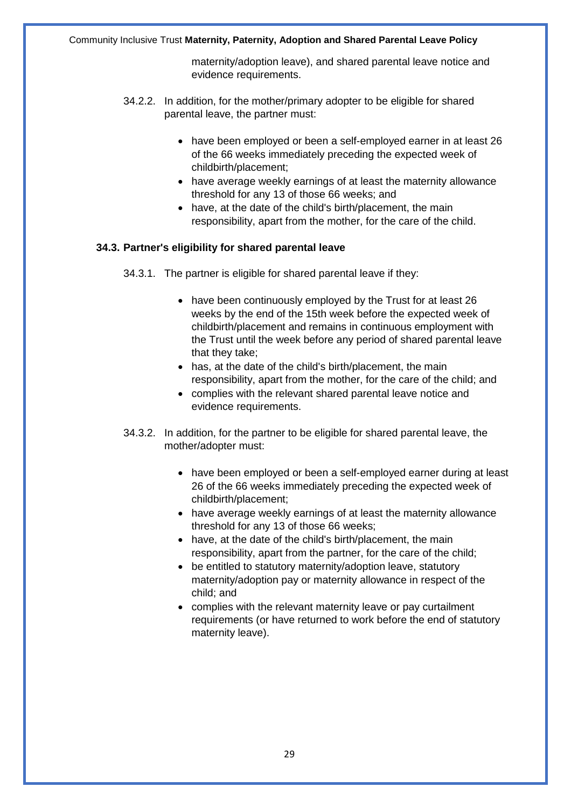maternity/adoption leave), and shared parental leave notice and evidence requirements.

- 34.2.2. In addition, for the mother/primary adopter to be eligible for shared parental leave, the partner must:
	- have been employed or been a self-employed earner in at least 26 of the 66 weeks immediately preceding the expected week of childbirth/placement;
	- have average weekly earnings of at least the maternity allowance threshold for any 13 of those 66 weeks; and
	- have, at the date of the child's birth/placement, the main responsibility, apart from the mother, for the care of the child.

#### **34.3. Partner's eligibility for shared parental leave**

34.3.1. The partner is eligible for shared parental leave if they:

- have been continuously employed by the Trust for at least 26 weeks by the end of the 15th week before the expected week of childbirth/placement and remains in continuous employment with the Trust until the week before any period of shared parental leave that they take;
- has, at the date of the child's birth/placement, the main responsibility, apart from the mother, for the care of the child; and
- complies with the relevant shared parental leave notice and evidence requirements.
- 34.3.2. In addition, for the partner to be eligible for shared parental leave, the mother/adopter must:
	- have been employed or been a self-employed earner during at least 26 of the 66 weeks immediately preceding the expected week of childbirth/placement;
	- have average weekly earnings of at least the maternity allowance threshold for any 13 of those 66 weeks;
	- have, at the date of the child's birth/placement, the main responsibility, apart from the partner, for the care of the child;
	- be entitled to statutory maternity/adoption leave, statutory maternity/adoption pay or maternity allowance in respect of the child; and
	- complies with the relevant maternity leave or pay curtailment requirements (or have returned to work before the end of statutory maternity leave).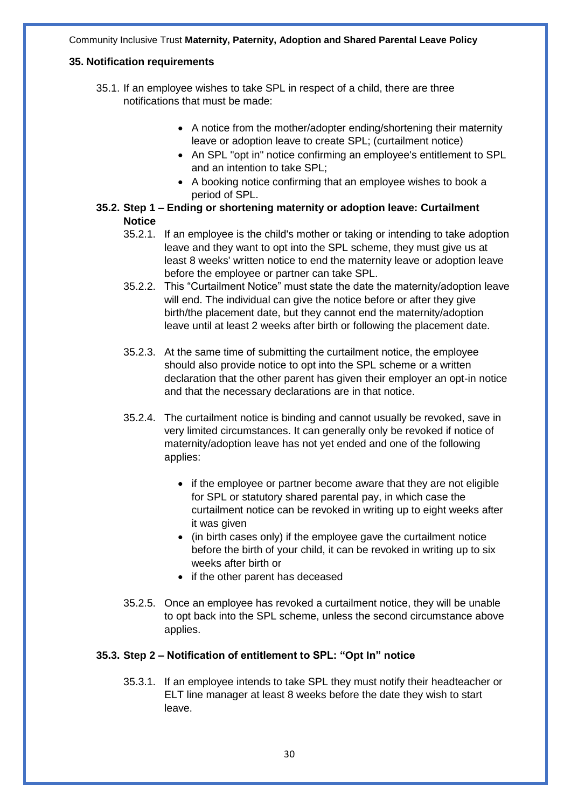#### **35. Notification requirements**

- 35.1. If an employee wishes to take SPL in respect of a child, there are three notifications that must be made:
	- A notice from the mother/adopter ending/shortening their maternity leave or adoption leave to create SPL; (curtailment notice)
	- An SPL "opt in" notice confirming an employee's entitlement to SPL and an intention to take SPL;
	- A booking notice confirming that an employee wishes to book a period of SPL.
- **35.2. Step 1 – Ending or shortening maternity or adoption leave: Curtailment Notice**
	- 35.2.1. If an employee is the child's mother or taking or intending to take adoption leave and they want to opt into the SPL scheme, they must give us at least 8 weeks' written notice to end the maternity leave or adoption leave before the employee or partner can take SPL.
	- 35.2.2. This "Curtailment Notice" must state the date the maternity/adoption leave will end. The individual can give the notice before or after they give birth/the placement date, but they cannot end the maternity/adoption leave until at least 2 weeks after birth or following the placement date.
	- 35.2.3. At the same time of submitting the curtailment notice, the employee should also provide notice to opt into the SPL scheme or a written declaration that the other parent has given their employer an opt-in notice and that the necessary declarations are in that notice.
	- 35.2.4. The curtailment notice is binding and cannot usually be revoked, save in very limited circumstances. It can generally only be revoked if notice of maternity/adoption leave has not yet ended and one of the following applies:
		- if the employee or partner become aware that they are not eligible for SPL or statutory shared parental pay, in which case the curtailment notice can be revoked in writing up to eight weeks after it was given
		- (in birth cases only) if the employee gave the curtailment notice before the birth of your child, it can be revoked in writing up to six weeks after birth or
		- if the other parent has deceased
	- 35.2.5. Once an employee has revoked a curtailment notice, they will be unable to opt back into the SPL scheme, unless the second circumstance above applies.

#### **35.3. Step 2 – Notification of entitlement to SPL: "Opt In" notice**

35.3.1. If an employee intends to take SPL they must notify their headteacher or ELT line manager at least 8 weeks before the date they wish to start leave.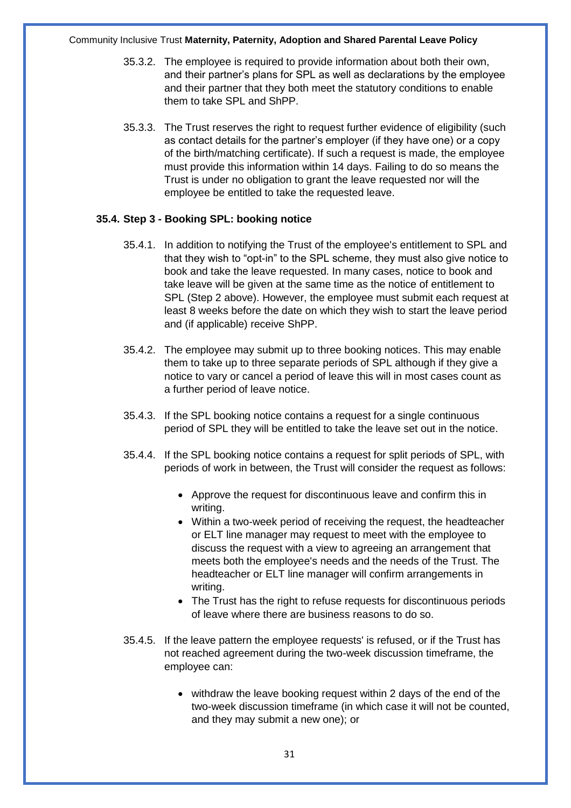- 35.3.2. The employee is required to provide information about both their own, and their partner's plans for SPL as well as declarations by the employee and their partner that they both meet the statutory conditions to enable them to take SPL and ShPP.
- 35.3.3. The Trust reserves the right to request further evidence of eligibility (such as contact details for the partner's employer (if they have one) or a copy of the birth/matching certificate). If such a request is made, the employee must provide this information within 14 days. Failing to do so means the Trust is under no obligation to grant the leave requested nor will the employee be entitled to take the requested leave.

#### **35.4. Step 3 - Booking SPL: booking notice**

- 35.4.1. In addition to notifying the Trust of the employee's entitlement to SPL and that they wish to "opt-in" to the SPL scheme, they must also give notice to book and take the leave requested. In many cases, notice to book and take leave will be given at the same time as the notice of entitlement to SPL (Step 2 above). However, the employee must submit each request at least 8 weeks before the date on which they wish to start the leave period and (if applicable) receive ShPP.
- 35.4.2. The employee may submit up to three booking notices. This may enable them to take up to three separate periods of SPL although if they give a notice to vary or cancel a period of leave this will in most cases count as a further period of leave notice.
- 35.4.3. If the SPL booking notice contains a request for a single continuous period of SPL they will be entitled to take the leave set out in the notice.
- 35.4.4. If the SPL booking notice contains a request for split periods of SPL, with periods of work in between, the Trust will consider the request as follows:
	- Approve the request for discontinuous leave and confirm this in writing.
	- Within a two-week period of receiving the request, the headteacher or ELT line manager may request to meet with the employee to discuss the request with a view to agreeing an arrangement that meets both the employee's needs and the needs of the Trust. The headteacher or ELT line manager will confirm arrangements in writing.
	- The Trust has the right to refuse requests for discontinuous periods of leave where there are business reasons to do so.
- 35.4.5. If the leave pattern the employee requests' is refused, or if the Trust has not reached agreement during the two-week discussion timeframe, the employee can:
	- withdraw the leave booking request within 2 days of the end of the two-week discussion timeframe (in which case it will not be counted, and they may submit a new one); or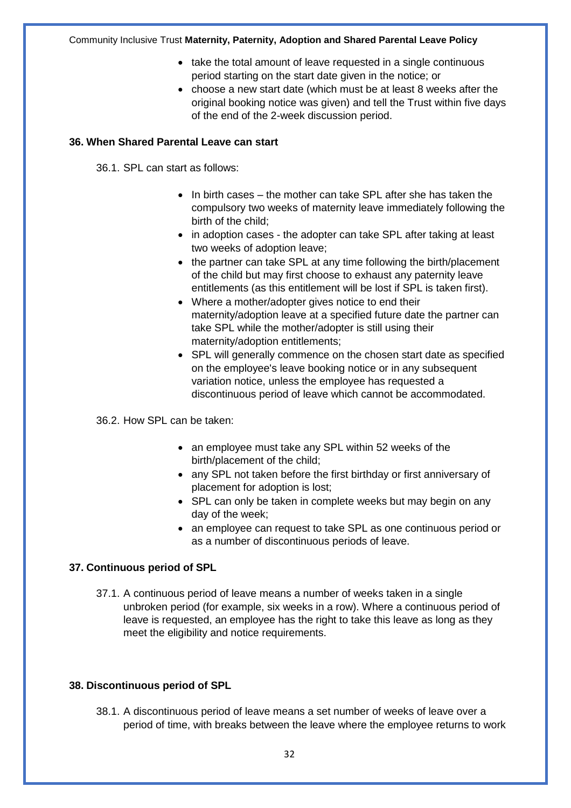- take the total amount of leave requested in a single continuous period starting on the start date given in the notice; or
- choose a new start date (which must be at least 8 weeks after the original booking notice was given) and tell the Trust within five days of the end of the 2-week discussion period.

#### **36. When Shared Parental Leave can start**

36.1. SPL can start as follows:

- In birth cases the mother can take SPL after she has taken the compulsory two weeks of maternity leave immediately following the birth of the child;
- in adoption cases the adopter can take SPL after taking at least two weeks of adoption leave;
- the partner can take SPL at any time following the birth/placement of the child but may first choose to exhaust any paternity leave entitlements (as this entitlement will be lost if SPL is taken first).
- Where a mother/adopter gives notice to end their maternity/adoption leave at a specified future date the partner can take SPL while the mother/adopter is still using their maternity/adoption entitlements;
- SPL will generally commence on the chosen start date as specified on the employee's leave booking notice or in any subsequent variation notice, unless the employee has requested a discontinuous period of leave which cannot be accommodated.

36.2. How SPL can be taken:

- an employee must take any SPL within 52 weeks of the birth/placement of the child;
- any SPL not taken before the first birthday or first anniversary of placement for adoption is lost;
- SPL can only be taken in complete weeks but may begin on any day of the week;
- an employee can request to take SPL as one continuous period or as a number of discontinuous periods of leave.

#### **37. Continuous period of SPL**

37.1. A continuous period of leave means a number of weeks taken in a single unbroken period (for example, six weeks in a row). Where a continuous period of leave is requested, an employee has the right to take this leave as long as they meet the eligibility and notice requirements.

#### **38. Discontinuous period of SPL**

38.1. A discontinuous period of leave means a set number of weeks of leave over a period of time, with breaks between the leave where the employee returns to work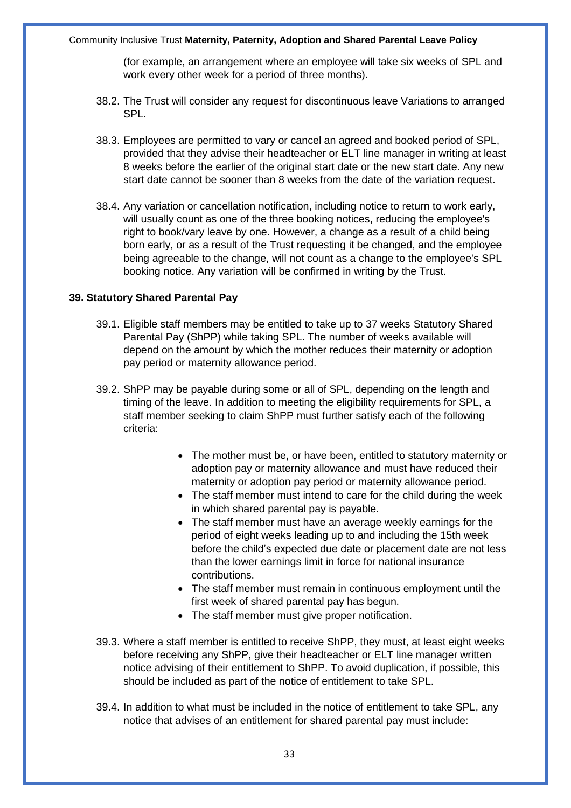(for example, an arrangement where an employee will take six weeks of SPL and work every other week for a period of three months).

- 38.2. The Trust will consider any request for discontinuous leave Variations to arranged SPL.
- 38.3. Employees are permitted to vary or cancel an agreed and booked period of SPL, provided that they advise their headteacher or ELT line manager in writing at least 8 weeks before the earlier of the original start date or the new start date. Any new start date cannot be sooner than 8 weeks from the date of the variation request.
- 38.4. Any variation or cancellation notification, including notice to return to work early, will usually count as one of the three booking notices, reducing the employee's right to book/vary leave by one. However, a change as a result of a child being born early, or as a result of the Trust requesting it be changed, and the employee being agreeable to the change, will not count as a change to the employee's SPL booking notice. Any variation will be confirmed in writing by the Trust.

#### **39. Statutory Shared Parental Pay**

- 39.1. Eligible staff members may be entitled to take up to 37 weeks Statutory Shared Parental Pay (ShPP) while taking SPL. The number of weeks available will depend on the amount by which the mother reduces their maternity or adoption pay period or maternity allowance period.
- 39.2. ShPP may be payable during some or all of SPL, depending on the length and timing of the leave. In addition to meeting the eligibility requirements for SPL, a staff member seeking to claim ShPP must further satisfy each of the following criteria:
	- The mother must be, or have been, entitled to statutory maternity or adoption pay or maternity allowance and must have reduced their maternity or adoption pay period or maternity allowance period.
	- The staff member must intend to care for the child during the week in which shared parental pay is payable.
	- The staff member must have an average weekly earnings for the period of eight weeks leading up to and including the 15th week before the child's expected due date or placement date are not less than the lower earnings limit in force for national insurance contributions.
	- The staff member must remain in continuous employment until the first week of shared parental pay has begun.
	- The staff member must give proper notification.
- 39.3. Where a staff member is entitled to receive ShPP, they must, at least eight weeks before receiving any ShPP, give their headteacher or ELT line manager written notice advising of their entitlement to ShPP. To avoid duplication, if possible, this should be included as part of the notice of entitlement to take SPL.
- 39.4. In addition to what must be included in the notice of entitlement to take SPL, any notice that advises of an entitlement for shared parental pay must include: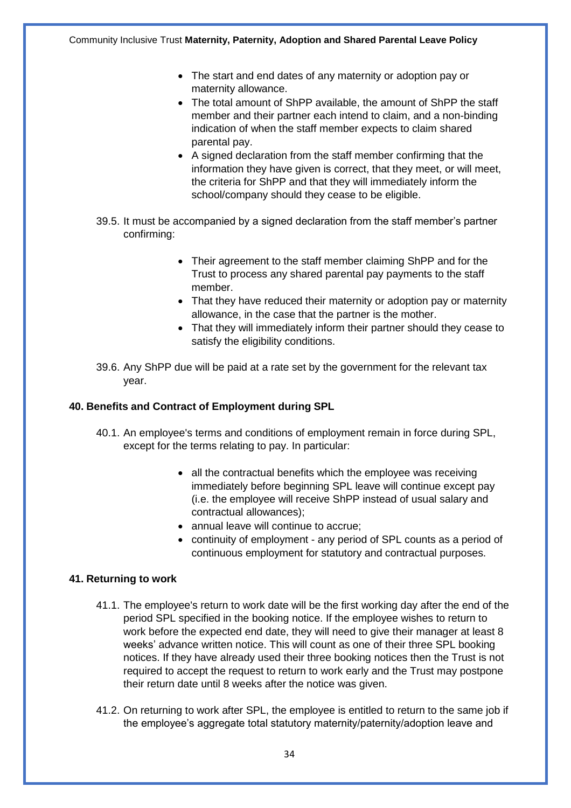- The start and end dates of any maternity or adoption pay or maternity allowance.
- The total amount of ShPP available, the amount of ShPP the staff member and their partner each intend to claim, and a non-binding indication of when the staff member expects to claim shared parental pay.
- A signed declaration from the staff member confirming that the information they have given is correct, that they meet, or will meet, the criteria for ShPP and that they will immediately inform the school/company should they cease to be eligible.
- 39.5. It must be accompanied by a signed declaration from the staff member's partner confirming:
	- Their agreement to the staff member claiming ShPP and for the Trust to process any shared parental pay payments to the staff member.
	- That they have reduced their maternity or adoption pay or maternity allowance, in the case that the partner is the mother.
	- That they will immediately inform their partner should they cease to satisfy the eligibility conditions.
- 39.6. Any ShPP due will be paid at a rate set by the government for the relevant tax year.

#### **40. Benefits and Contract of Employment during SPL**

- 40.1. An employee's terms and conditions of employment remain in force during SPL, except for the terms relating to pay. In particular:
	- all the contractual benefits which the employee was receiving immediately before beginning SPL leave will continue except pay (i.e. the employee will receive ShPP instead of usual salary and contractual allowances);
	- annual leave will continue to accrue;
	- continuity of employment any period of SPL counts as a period of continuous employment for statutory and contractual purposes.

#### **41. Returning to work**

- 41.1. The employee's return to work date will be the first working day after the end of the period SPL specified in the booking notice. If the employee wishes to return to work before the expected end date, they will need to give their manager at least 8 weeks' advance written notice. This will count as one of their three SPL booking notices. If they have already used their three booking notices then the Trust is not required to accept the request to return to work early and the Trust may postpone their return date until 8 weeks after the notice was given.
- 41.2. On returning to work after SPL, the employee is entitled to return to the same job if the employee's aggregate total statutory maternity/paternity/adoption leave and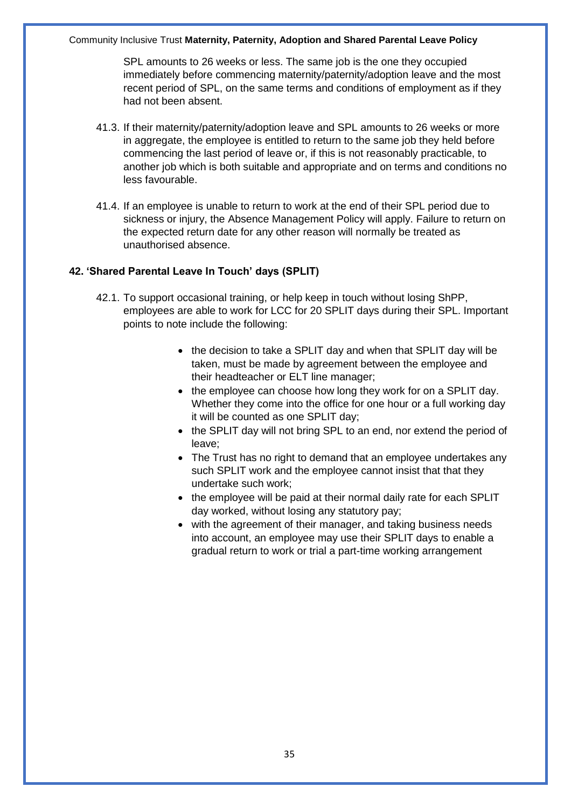SPL amounts to 26 weeks or less. The same job is the one they occupied immediately before commencing maternity/paternity/adoption leave and the most recent period of SPL, on the same terms and conditions of employment as if they had not been absent.

- 41.3. If their maternity/paternity/adoption leave and SPL amounts to 26 weeks or more in aggregate, the employee is entitled to return to the same job they held before commencing the last period of leave or, if this is not reasonably practicable, to another job which is both suitable and appropriate and on terms and conditions no less favourable.
- 41.4. If an employee is unable to return to work at the end of their SPL period due to sickness or injury, the Absence Management Policy will apply. Failure to return on the expected return date for any other reason will normally be treated as unauthorised absence.

#### **42. 'Shared Parental Leave In Touch' days (SPLIT)**

- 42.1. To support occasional training, or help keep in touch without losing ShPP, employees are able to work for LCC for 20 SPLIT days during their SPL. Important points to note include the following:
	- the decision to take a SPLIT day and when that SPLIT day will be taken, must be made by agreement between the employee and their headteacher or ELT line manager;
	- the employee can choose how long they work for on a SPLIT day. Whether they come into the office for one hour or a full working day it will be counted as one SPLIT day;
	- the SPLIT day will not bring SPL to an end, nor extend the period of leave;
	- The Trust has no right to demand that an employee undertakes any such SPLIT work and the employee cannot insist that that they undertake such work;
	- the employee will be paid at their normal daily rate for each SPLIT day worked, without losing any statutory pay;
	- with the agreement of their manager, and taking business needs into account, an employee may use their SPLIT days to enable a gradual return to work or trial a part-time working arrangement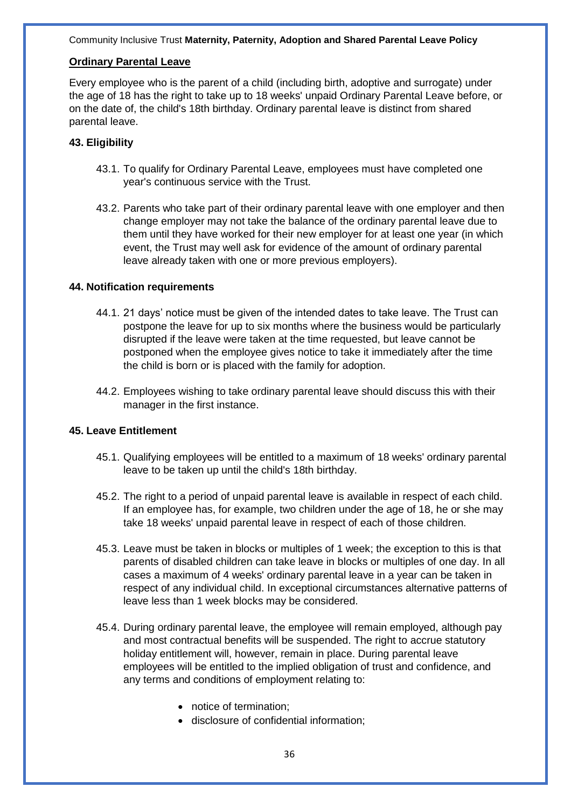#### **Ordinary Parental Leave**

Every employee who is the parent of a child (including birth, adoptive and surrogate) under the age of 18 has the right to take up to 18 weeks' unpaid Ordinary Parental Leave before, or on the date of, the child's 18th birthday. Ordinary parental leave is distinct from shared parental leave.

#### **43. Eligibility**

- 43.1. To qualify for Ordinary Parental Leave, employees must have completed one year's continuous service with the Trust.
- 43.2. Parents who take part of their ordinary parental leave with one employer and then change employer may not take the balance of the ordinary parental leave due to them until they have worked for their new employer for at least one year (in which event, the Trust may well ask for evidence of the amount of ordinary parental leave already taken with one or more previous employers).

#### **44. Notification requirements**

- 44.1. 21 days' notice must be given of the intended dates to take leave. The Trust can postpone the leave for up to six months where the business would be particularly disrupted if the leave were taken at the time requested, but leave cannot be postponed when the employee gives notice to take it immediately after the time the child is born or is placed with the family for adoption.
- 44.2. Employees wishing to take ordinary parental leave should discuss this with their manager in the first instance.

#### **45. Leave Entitlement**

- 45.1. Qualifying employees will be entitled to a maximum of 18 weeks' ordinary parental leave to be taken up until the child's 18th birthday.
- 45.2. The right to a period of unpaid parental leave is available in respect of each child. If an employee has, for example, two children under the age of 18, he or she may take 18 weeks' unpaid parental leave in respect of each of those children.
- 45.3. Leave must be taken in blocks or multiples of 1 week; the exception to this is that parents of disabled children can take leave in blocks or multiples of one day. In all cases a maximum of 4 weeks' ordinary parental leave in a year can be taken in respect of any individual child. In exceptional circumstances alternative patterns of leave less than 1 week blocks may be considered.
- 45.4. During ordinary parental leave, the employee will remain employed, although pay and most contractual benefits will be suspended. The right to accrue statutory holiday entitlement will, however, remain in place. During parental leave employees will be entitled to the implied obligation of trust and confidence, and any terms and conditions of employment relating to:
	- notice of termination;
	- disclosure of confidential information;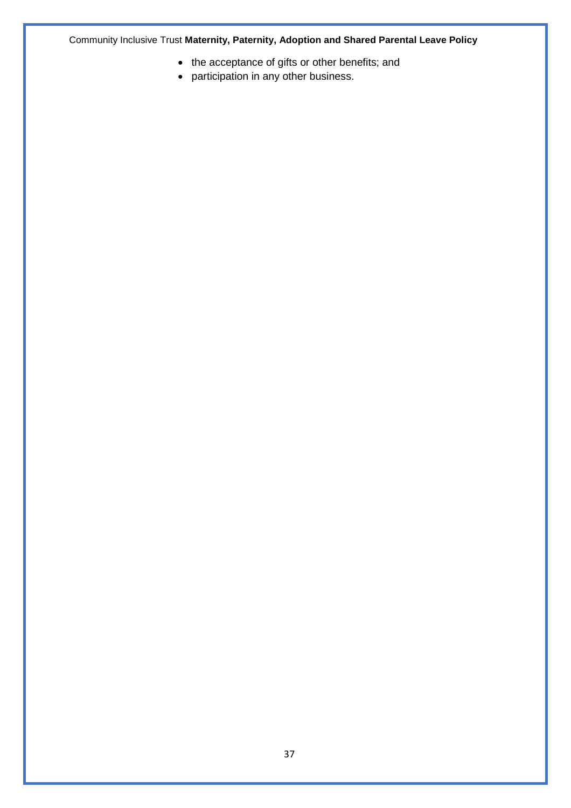- the acceptance of gifts or other benefits; and
- participation in any other business.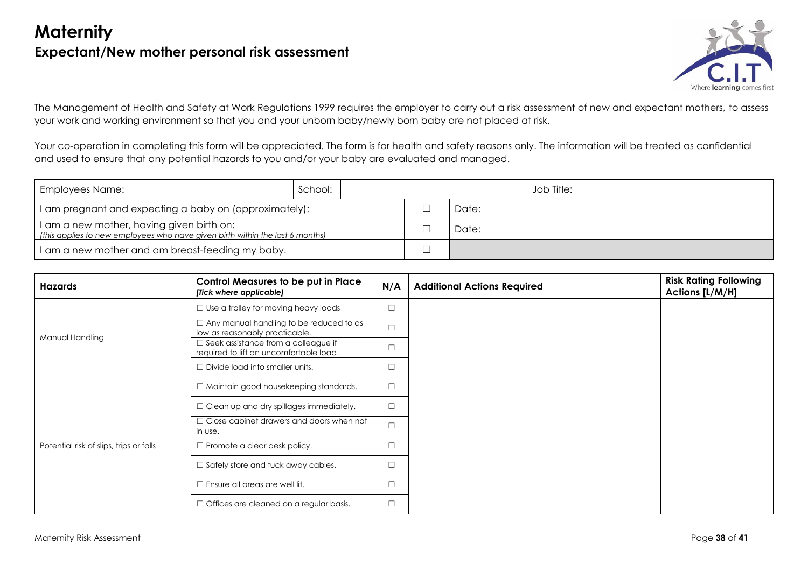# **Maternity Expectant/New mother personal risk assessment**



The Management of Health and Safety at Work Regulations 1999 requires the employer to carry out a risk assessment of new and expectant mothers, to assess your work and working environment so that you and your unborn baby/newly born baby are not placed at risk.

Your co-operation in completing this form will be appreciated. The form is for health and safety reasons only. The information will be treated as confidential and used to ensure that any potential hazards to you and/or your baby are evaluated and managed.

| Employees Name: |                                                                                                                            | School: |  |       | Job Title: |  |
|-----------------|----------------------------------------------------------------------------------------------------------------------------|---------|--|-------|------------|--|
|                 | I am pregnant and expecting a baby on (approximately):                                                                     |         |  | Date: |            |  |
|                 | I am a new mother, having given birth on:<br>(this applies to new employees who have given birth within the last 6 months) |         |  | Date: |            |  |
|                 | I am a new mother and am breast-feeding my baby.                                                                           |         |  |       |            |  |

| <b>Hazards</b>                          | <b>Control Measures to be put in Place</b><br>[Tick where applicable]                 | N/A    | <b>Additional Actions Required</b> | <b>Risk Rating Following</b><br>Actions [L/M/H] |
|-----------------------------------------|---------------------------------------------------------------------------------------|--------|------------------------------------|-------------------------------------------------|
|                                         | $\Box$ Use a trolley for moving heavy loads                                           | □      |                                    |                                                 |
| Manual Handling                         | Any manual handling to be reduced to as<br>low as reasonably practicable.             | $\Box$ |                                    |                                                 |
|                                         | $\Box$ Seek assistance from a colleague if<br>required to lift an uncomfortable load. | $\Box$ |                                    |                                                 |
|                                         | $\Box$ Divide load into smaller units.                                                | □      |                                    |                                                 |
|                                         | $\Box$ Maintain good housekeeping standards.                                          | $\Box$ |                                    |                                                 |
|                                         | $\Box$ Clean up and dry spillages immediately.                                        | $\Box$ |                                    |                                                 |
|                                         | Close cabinet drawers and doors when not<br>in use.                                   | $\Box$ |                                    |                                                 |
| Potential risk of slips, trips or falls | Promote a clear desk policy.                                                          | □      |                                    |                                                 |
|                                         | $\Box$ Safely store and tuck away cables.                                             | $\Box$ |                                    |                                                 |
|                                         | Ensure all areas are well lit.                                                        | □      |                                    |                                                 |
|                                         | $\Box$ Offices are cleaned on a regular basis.                                        | $\Box$ |                                    |                                                 |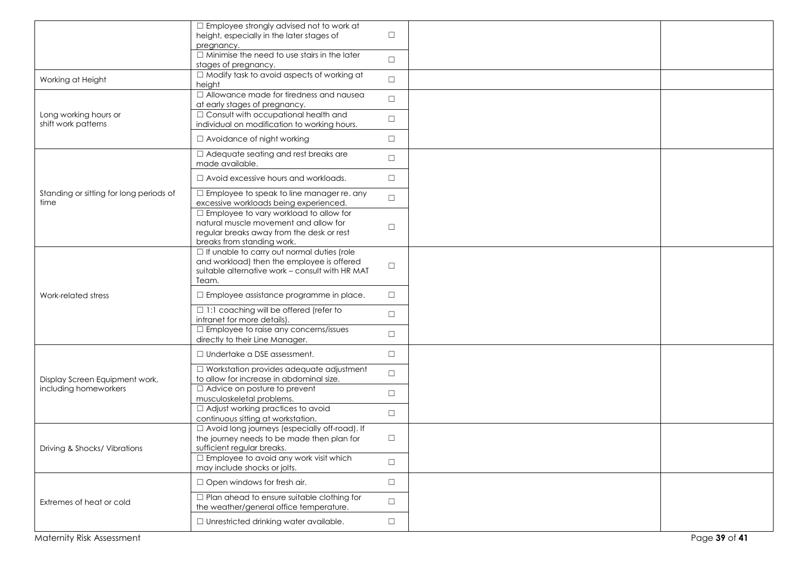|                                                 | $\Box$ Employee strongly advised not to work at<br>height, especially in the later stages of<br>pregnancy.                                                   | $\Box$ |               |
|-------------------------------------------------|--------------------------------------------------------------------------------------------------------------------------------------------------------------|--------|---------------|
|                                                 | $\Box$ Minimise the need to use stairs in the later<br>stages of pregnancy.                                                                                  | $\Box$ |               |
| Working at Height                               | $\Box$ Modify task to avoid aspects of working at<br>height                                                                                                  | $\Box$ |               |
|                                                 | $\Box$ Allowance made for tiredness and nausea<br>at early stages of pregnancy.                                                                              | $\Box$ |               |
| Long working hours or<br>shift work patterns    | $\Box$ Consult with occupational health and<br>individual on modification to working hours.                                                                  | $\Box$ |               |
|                                                 | $\Box$ Avoidance of night working                                                                                                                            | $\Box$ |               |
|                                                 | $\Box$ Adequate seating and rest breaks are<br>made available.                                                                                               | $\Box$ |               |
|                                                 | $\Box$ Avoid excessive hours and workloads.                                                                                                                  | $\Box$ |               |
| Standing or sitting for long periods of<br>time | $\Box$ Employee to speak to line manager re. any<br>excessive workloads being experienced.                                                                   | $\Box$ |               |
|                                                 | □ Employee to vary workload to allow for<br>natural muscle movement and allow for<br>regular breaks away from the desk or rest<br>breaks from standing work. | □      |               |
|                                                 | □ If unable to carry out normal duties (role<br>and workload) then the employee is offered<br>suitable alternative work - consult with HR MAT<br>Team.       | $\Box$ |               |
| Work-related stress                             | $\Box$ Employee assistance programme in place.                                                                                                               | $\Box$ |               |
|                                                 | $\Box$ 1:1 coaching will be offered (refer to<br>intranet for more details).                                                                                 | $\Box$ |               |
|                                                 | $\Box$ Employee to raise any concerns/issues<br>directly to their Line Manager.                                                                              | $\Box$ |               |
|                                                 | $\Box$ Undertake a DSE assessment.                                                                                                                           | $\Box$ |               |
| Display Screen Equipment work,                  | $\Box$ Workstation provides adequate adjustment<br>to allow for increase in abdominal size.                                                                  | $\Box$ |               |
| including homeworkers                           | $\Box$ Advice on posture to prevent<br>musculoskeletal problems.                                                                                             | $\Box$ |               |
|                                                 | $\Box$ Adjust working practices to avoid<br>continuous sitting at workstation.                                                                               | $\Box$ |               |
| Driving & Shocks/ Vibrations                    | □ Avoid long journeys (especially off-road). If<br>the journey needs to be made then plan for<br>sufficient regular breaks.                                  | $\Box$ |               |
|                                                 | $\Box$ Employee to avoid any work visit which<br>may include shocks or jolts.                                                                                | $\Box$ |               |
|                                                 | $\Box$ Open windows for fresh air.                                                                                                                           | $\Box$ |               |
| Extremes of heat or cold                        | $\Box$ Plan ahead to ensure suitable clothing for<br>the weather/general office temperature.                                                                 | $\Box$ |               |
|                                                 | $\Box$ Unrestricted drinking water available.                                                                                                                | $\Box$ |               |
| Maternity Risk Assessment                       |                                                                                                                                                              |        | Page 39 of 41 |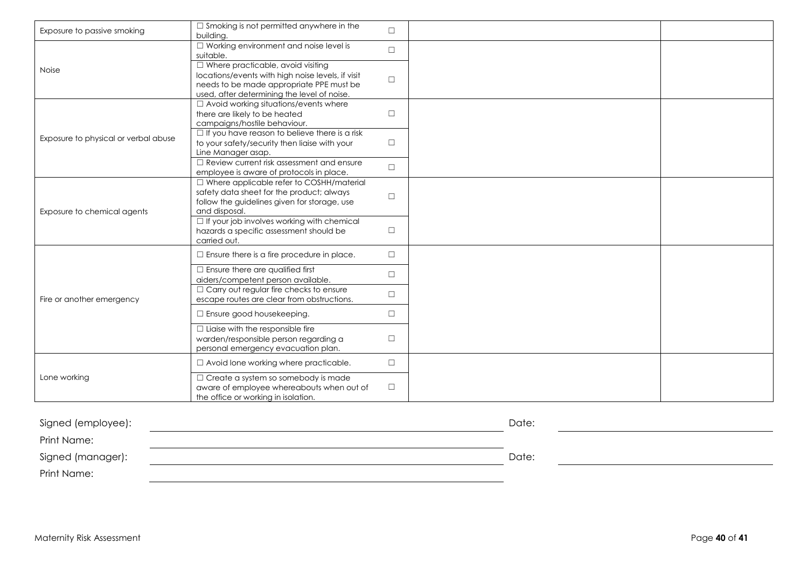| Exposure to passive smoking          | $\Box$ Smoking is not permitted anywhere in the<br>building.                         | $\Box$ |  |
|--------------------------------------|--------------------------------------------------------------------------------------|--------|--|
|                                      | $\Box$ Working environment and noise level is<br>suitable.                           | $\Box$ |  |
| <b>Noise</b>                         | $\Box$ Where practicable, avoid visiting                                             |        |  |
|                                      | locations/events with high noise levels, if visit                                    | $\Box$ |  |
|                                      | needs to be made appropriate PPE must be                                             |        |  |
|                                      | used, after determining the level of noise.                                          |        |  |
|                                      | $\Box$ Avoid working situations/events where                                         |        |  |
|                                      | there are likely to be heated                                                        | $\Box$ |  |
|                                      | campaigns/hostile behaviour.                                                         |        |  |
| Exposure to physical or verbal abuse | $\Box$ If you have reason to believe there is a risk                                 | $\Box$ |  |
|                                      | to your safety/security then liaise with your<br>Line Manager asap.                  |        |  |
|                                      | $\Box$ Review current risk assessment and ensure                                     |        |  |
|                                      | employee is aware of protocols in place.                                             | $\Box$ |  |
|                                      | □ Where applicable refer to COSHH/material                                           |        |  |
|                                      | safety data sheet for the product; always                                            |        |  |
|                                      | follow the guidelines given for storage, use                                         | $\Box$ |  |
| Exposure to chemical agents          | and disposal.                                                                        |        |  |
|                                      | $\Box$ If your job involves working with chemical                                    |        |  |
|                                      | hazards a specific assessment should be                                              | $\Box$ |  |
|                                      | carried out.                                                                         |        |  |
|                                      | $\Box$ Ensure there is a fire procedure in place.                                    | $\Box$ |  |
|                                      | $\Box$ Ensure there are qualified first                                              | $\Box$ |  |
|                                      | aiders/competent person available.<br>$\Box$ Carry out regular fire checks to ensure |        |  |
| Fire or another emergency            | escape routes are clear from obstructions.                                           | $\Box$ |  |
|                                      |                                                                                      |        |  |
|                                      | $\Box$ Ensure good housekeeping.                                                     | $\Box$ |  |
|                                      | $\Box$ Liaise with the responsible fire                                              |        |  |
|                                      | warden/responsible person regarding a                                                | $\Box$ |  |
|                                      | personal emergency evacuation plan.                                                  |        |  |
|                                      | $\Box$ Avoid lone working where practicable.                                         | $\Box$ |  |
| Lone working                         | $\Box$ Create a system so somebody is made                                           |        |  |
|                                      | aware of employee whereabouts when out of                                            | $\Box$ |  |
|                                      | the office or working in isolation.                                                  |        |  |

| Signed (employee): | Date: |  |
|--------------------|-------|--|
| Print Name:        |       |  |
| Signed (manager):  | Date: |  |
| Print Name:        |       |  |
|                    |       |  |